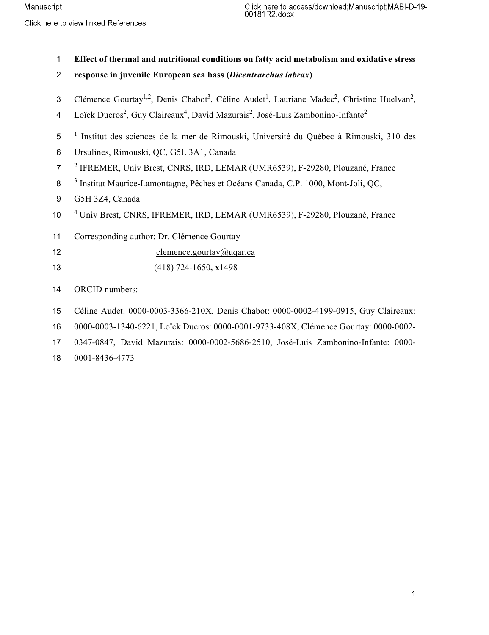**Effect of thermal and nutritional conditions on fatty acid metabolism and oxidative stress** 

- **response in juvenile European sea bass (***Dicentrarchus labrax***)**
- 3 Clémence Gourtay<sup>1,2</sup>, Denis Chabot<sup>3</sup>, Céline Audet<sup>1</sup>, Lauriane Madec<sup>2</sup>, Christine Huelvan<sup>2</sup>,
- Loïck Ducros<sup>2</sup>, Guy Claireaux<sup>4</sup>, David Mazurais<sup>2</sup>, José-Luis Zambonino-Infante<sup>2</sup>
- <sup>1</sup> Institut des sciences de la mer de Rimouski, Université du Québec à Rimouski, 310 des
- Ursulines, Rimouski, QC, G5L 3A1, Canada
- 7 <sup>2</sup> IFREMER, Univ Brest, CNRS, IRD, LEMAR (UMR6539), F-29280, Plouzané, France
- 8<sup>3</sup> Institut Maurice-Lamontagne, Pêches et Océans Canada, C.P. 1000, Mont-Joli, QC,
- G5H 3Z4, Canada
- 10 <sup>4</sup> Univ Brest, CNRS, IFREMER, IRD, LEMAR (UMR6539), F-29280, Plouzané, France
- Corresponding author: Dr. Clémence Gourtay
- 12 clemence.gourtay@uqar.ca
- (418) 724-1650**, x**1498

ORCID numbers:

- Céline Audet: 0000-0003-3366-210X, Denis Chabot: 0000-0002-4199-0915, Guy Claireaux:
- 0000-0003-1340-6221, Loïck Ducros: 0000-0001-9733-408X, Clémence Gourtay: 0000-0002-
- 0347-0847, David Mazurais: 0000-0002-5686-2510, José-Luis Zambonino-Infante: 0000-
- 0001-8436-4773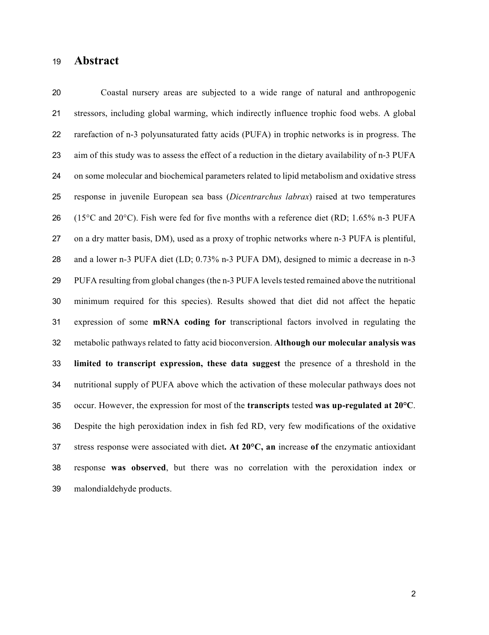## **Abstract**

 Coastal nursery areas are subjected to a wide range of natural and anthropogenic stressors, including global warming, which indirectly influence trophic food webs. A global rarefaction of n-3 polyunsaturated fatty acids (PUFA) in trophic networks is in progress. The aim of this study was to assess the effect of a reduction in the dietary availability of n-3 PUFA on some molecular and biochemical parameters related to lipid metabolism and oxidative stress response in juvenile European sea bass (*Dicentrarchus labrax*) raised at two temperatures 26 (15<sup>o</sup>C and 20<sup>o</sup>C). Fish were fed for five months with a reference diet (RD; 1.65% n-3 PUFA on a dry matter basis, DM), used as a proxy of trophic networks where n-3 PUFA is plentiful, and a lower n-3 PUFA diet (LD; 0.73% n-3 PUFA DM), designed to mimic a decrease in n-3 PUFA resulting from global changes (the n-3 PUFA levels tested remained above the nutritional minimum required for this species). Results showed that diet did not affect the hepatic expression of some **mRNA coding for** transcriptional factors involved in regulating the metabolic pathways related to fatty acid bioconversion. **Although our molecular analysis was limited to transcript expression, these data suggest** the presence of a threshold in the nutritional supply of PUFA above which the activation of these molecular pathways does not occur. However, the expression for most of the **transcripts** tested **was up-regulated at 20°C**. Despite the high peroxidation index in fish fed RD, very few modifications of the oxidative stress response were associated with diet**. At 20°C, an** increase **of** the enzymatic antioxidant response **was observed**, but there was no correlation with the peroxidation index or malondialdehyde products.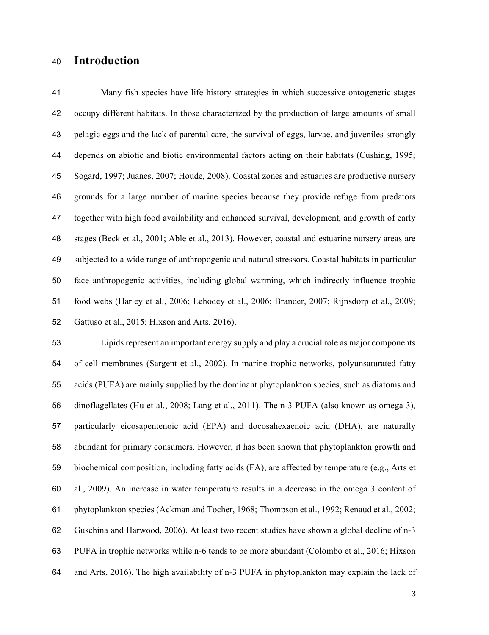## **Introduction**

 Many fish species have life history strategies in which successive ontogenetic stages occupy different habitats. In those characterized by the production of large amounts of small pelagic eggs and the lack of parental care, the survival of eggs, larvae, and juveniles strongly depends on abiotic and biotic environmental factors acting on their habitats (Cushing, 1995; Sogard, 1997; Juanes, 2007; Houde, 2008). Coastal zones and estuaries are productive nursery grounds for a large number of marine species because they provide refuge from predators together with high food availability and enhanced survival, development, and growth of early stages (Beck et al., 2001; Able et al., 2013). However, coastal and estuarine nursery areas are subjected to a wide range of anthropogenic and natural stressors. Coastal habitats in particular face anthropogenic activities, including global warming, which indirectly influence trophic food webs (Harley et al., 2006; Lehodey et al., 2006; Brander, 2007; Rijnsdorp et al., 2009; Gattuso et al., 2015; Hixson and Arts, 2016).

 Lipids represent an important energy supply and play a crucial role as major components of cell membranes (Sargent et al., 2002). In marine trophic networks, polyunsaturated fatty acids (PUFA) are mainly supplied by the dominant phytoplankton species, such as diatoms and dinoflagellates (Hu et al., 2008; Lang et al., 2011). The n-3 PUFA (also known as omega 3), particularly eicosapentenoic acid (EPA) and docosahexaenoic acid (DHA), are naturally abundant for primary consumers. However, it has been shown that phytoplankton growth and biochemical composition, including fatty acids (FA), are affected by temperature (e.g., Arts et al., 2009). An increase in water temperature results in a decrease in the omega 3 content of phytoplankton species (Ackman and Tocher, 1968; Thompson et al., 1992; Renaud et al., 2002; Guschina and Harwood, 2006). At least two recent studies have shown a global decline of n-3 PUFA in trophic networks while n-6 tends to be more abundant (Colombo et al., 2016; Hixson and Arts, 2016). The high availability of n-3 PUFA in phytoplankton may explain the lack of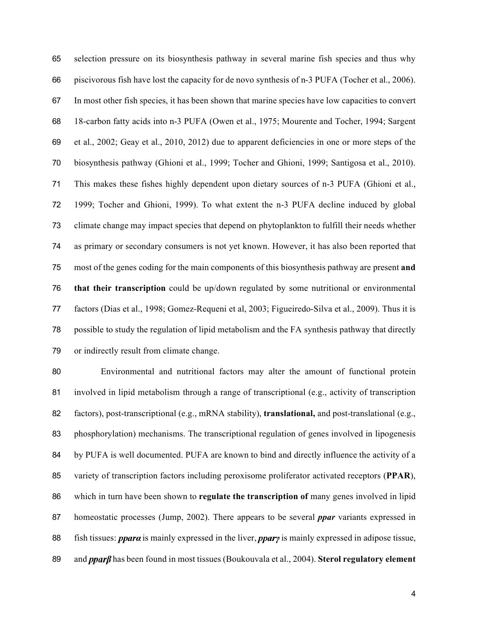selection pressure on its biosynthesis pathway in several marine fish species and thus why piscivorous fish have lost the capacity for de novo synthesis of n-3 PUFA (Tocher et al., 2006). In most other fish species, it has been shown that marine species have low capacities to convert 18-carbon fatty acids into n-3 PUFA (Owen et al., 1975; Mourente and Tocher, 1994; Sargent et al., 2002; Geay et al., 2010, 2012) due to apparent deficiencies in one or more steps of the biosynthesis pathway (Ghioni et al., 1999; Tocher and Ghioni, 1999; Santigosa et al., 2010). This makes these fishes highly dependent upon dietary sources of n-3 PUFA (Ghioni et al., 1999; Tocher and Ghioni, 1999). To what extent the n-3 PUFA decline induced by global climate change may impact species that depend on phytoplankton to fulfill their needs whether as primary or secondary consumers is not yet known. However, it has also been reported that most of the genes coding for the main components of this biosynthesis pathway are present **and that their transcription** could be up/down regulated by some nutritional or environmental factors (Dias et al., 1998; Gomez-Requeni et al, 2003; Figueiredo-Silva et al., 2009). Thus it is possible to study the regulation of lipid metabolism and the FA synthesis pathway that directly or indirectly result from climate change.

 Environmental and nutritional factors may alter the amount of functional protein involved in lipid metabolism through a range of transcriptional (e.g., activity of transcription factors), post-transcriptional (e.g., mRNA stability), **translational,** and post-translational (e.g., phosphorylation) mechanisms. The transcriptional regulation of genes involved in lipogenesis 84 by PUFA is well documented. PUFA are known to bind and directly influence the activity of a variety of transcription factors including peroxisome proliferator activated receptors (**PPAR**), which in turn have been shown to **regulate the transcription of** many genes involved in lipid homeostatic processes (Jump, 2002). There appears to be several *ppar* variants expressed in 88 fish tissues: *ppara* is mainly expressed in the liver, *ppary* is mainly expressed in adipose tissue, 89 and *pparf* has been found in most tissues (Boukouvala et al., 2004). **Sterol regulatory element**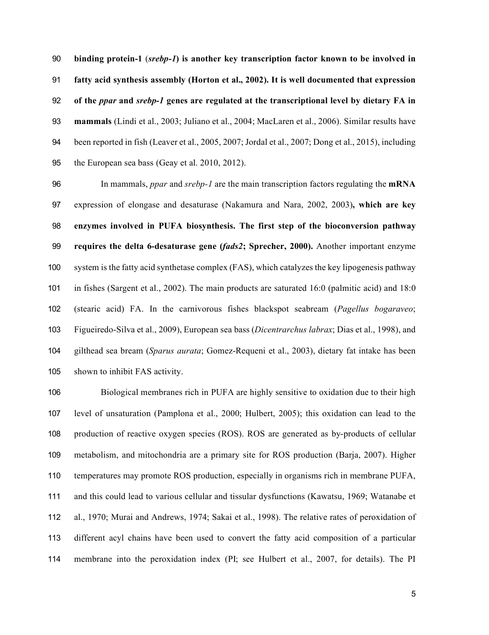**binding protein-1** (*srebp-1***) is another key transcription factor known to be involved in fatty acid synthesis assembly (Horton et al., 2002). It is well documented that expression of the** *ppar* **and** *srebp-1* **genes are regulated at the transcriptional level by dietary FA in mammals** (Lindi et al., 2003; Juliano et al., 2004; MacLaren et al., 2006). Similar results have been reported in fish (Leaver et al., 2005, 2007; Jordal et al., 2007; Dong et al., 2015), including the European sea bass (Geay et al. 2010, 2012).

 In mammals, *ppar* and *srebp-1* are the main transcription factors regulating the **mRNA** expression of elongase and desaturase (Nakamura and Nara, 2002, 2003)**, which are key enzymes involved in PUFA biosynthesis. The first step of the bioconversion pathway requires the delta 6-desaturase gene (***fads2***; Sprecher, 2000).** Another important enzyme system is the fatty acid synthetase complex (FAS), which catalyzes the key lipogenesis pathway in fishes (Sargent et al., 2002). The main products are saturated 16:0 (palmitic acid) and 18:0 (stearic acid) FA. In the carnivorous fishes blackspot seabream (*Pagellus bogaraveo*; Figueiredo-Silva et al., 2009), European sea bass (*Dicentrarchus labrax*; Dias et al., 1998), and gilthead sea bream (*Sparus aurata*; Gomez-Requeni et al., 2003), dietary fat intake has been shown to inhibit FAS activity.

 Biological membranes rich in PUFA are highly sensitive to oxidation due to their high level of unsaturation (Pamplona et al., 2000; Hulbert, 2005); this oxidation can lead to the production of reactive oxygen species (ROS). ROS are generated as by-products of cellular metabolism, and mitochondria are a primary site for ROS production (Barja, 2007). Higher temperatures may promote ROS production, especially in organisms rich in membrane PUFA, and this could lead to various cellular and tissular dysfunctions (Kawatsu, 1969; Watanabe et al., 1970; Murai and Andrews, 1974; Sakai et al., 1998). The relative rates of peroxidation of different acyl chains have been used to convert the fatty acid composition of a particular membrane into the peroxidation index (PI; see Hulbert et al., 2007, for details). The PI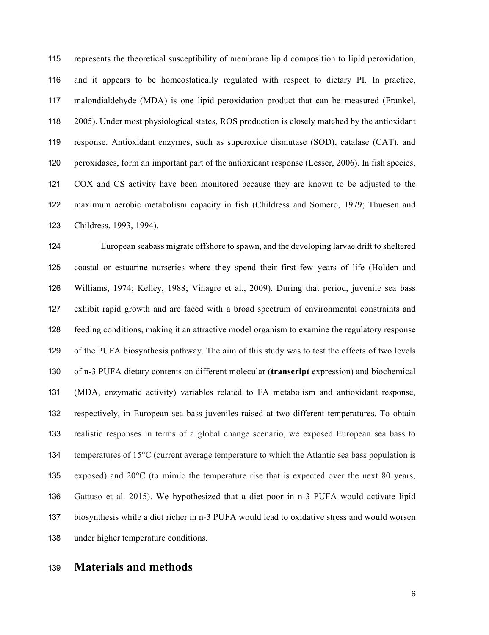represents the theoretical susceptibility of membrane lipid composition to lipid peroxidation, and it appears to be homeostatically regulated with respect to dietary PI. In practice, malondialdehyde (MDA) is one lipid peroxidation product that can be measured (Frankel, 2005). Under most physiological states, ROS production is closely matched by the antioxidant response. Antioxidant enzymes, such as superoxide dismutase (SOD), catalase (CAT), and peroxidases, form an important part of the antioxidant response (Lesser, 2006). In fish species, COX and CS activity have been monitored because they are known to be adjusted to the maximum aerobic metabolism capacity in fish (Childress and Somero, 1979; Thuesen and Childress, 1993, 1994).

 European seabass migrate offshore to spawn, and the developing larvae drift to sheltered coastal or estuarine nurseries where they spend their first few years of life (Holden and Williams, 1974; Kelley, 1988; Vinagre et al., 2009). During that period, juvenile sea bass exhibit rapid growth and are faced with a broad spectrum of environmental constraints and feeding conditions, making it an attractive model organism to examine the regulatory response of the PUFA biosynthesis pathway. The aim of this study was to test the effects of two levels of n-3 PUFA dietary contents on different molecular (**transcript** expression) and biochemical (MDA, enzymatic activity) variables related to FA metabolism and antioxidant response, respectively, in European sea bass juveniles raised at two different temperatures. To obtain realistic responses in terms of a global change scenario, we exposed European sea bass to 134 temperatures of 15<sup>o</sup>C (current average temperature to which the Atlantic sea bass population is 135 exposed) and  $20^{\circ}$ C (to mimic the temperature rise that is expected over the next 80 years; Gattuso et al. 2015). We hypothesized that a diet poor in n-3 PUFA would activate lipid biosynthesis while a diet richer in n-3 PUFA would lead to oxidative stress and would worsen under higher temperature conditions.

## **Materials and methods**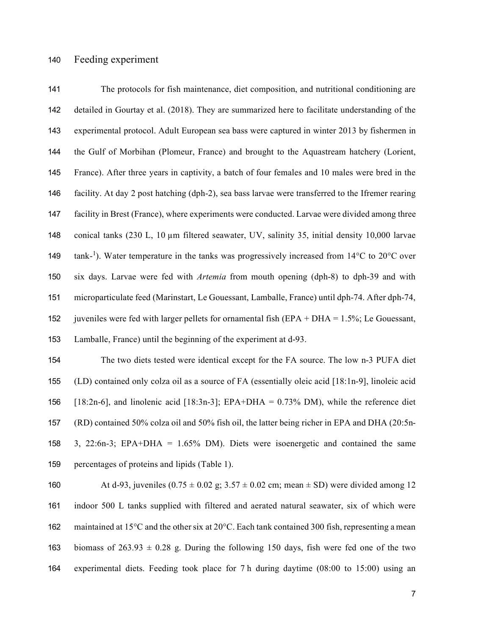The protocols for fish maintenance, diet composition, and nutritional conditioning are detailed in Gourtay et al. (2018). They are summarized here to facilitate understanding of the experimental protocol. Adult European sea bass were captured in winter 2013 by fishermen in the Gulf of Morbihan (Plomeur, France) and brought to the Aquastream hatchery (Lorient, France). After three years in captivity, a batch of four females and 10 males were bred in the facility. At day 2 post hatching (dph-2), sea bass larvae were transferred to the Ifremer rearing facility in Brest (France), where experiments were conducted. Larvae were divided among three conical tanks (230 L, 10 µm filtered seawater, UV, salinity 35, initial density 10,000 larvae 149 tank-<sup>1</sup>). Water temperature in the tanks was progressively increased from 14°C to 20°C over six days. Larvae were fed with *Artemia* from mouth opening (dph-8) to dph-39 and with microparticulate feed (Marinstart, Le Gouessant, Lamballe, France) until dph-74. After dph-74, 152 juveniles were fed with larger pellets for ornamental fish  $EPA + DHA = 1.5\%$ ; Le Gouessant, Lamballe, France) until the beginning of the experiment at d-93.

 The two diets tested were identical except for the FA source. The low n-3 PUFA diet (LD) contained only colza oil as a source of FA (essentially oleic acid [18:1n-9], linoleic acid 156 [18:2n-6], and linolenic acid [18:3n-3]; EPA+DHA =  $0.73\%$  DM), while the reference diet (RD) contained 50% colza oil and 50% fish oil, the latter being richer in EPA and DHA (20:5n- 3, 22:6n-3; EPA+DHA = 1.65% DM). Diets were isoenergetic and contained the same percentages of proteins and lipids (Table 1).

160 At d-93, juveniles  $(0.75 \pm 0.02 \text{ g}; 3.57 \pm 0.02 \text{ cm}; \text{mean} \pm \text{SD})$  were divided among 12 indoor 500 L tanks supplied with filtered and aerated natural seawater, six of which were 162 maintained at 15<sup>o</sup>C and the other six at  $20^{\circ}$ C. Each tank contained 300 fish, representing a mean 163 biomass of 263.93  $\pm$  0.28 g. During the following 150 days, fish were fed one of the two experimental diets. Feeding took place for 7 h during daytime (08:00 to 15:00) using an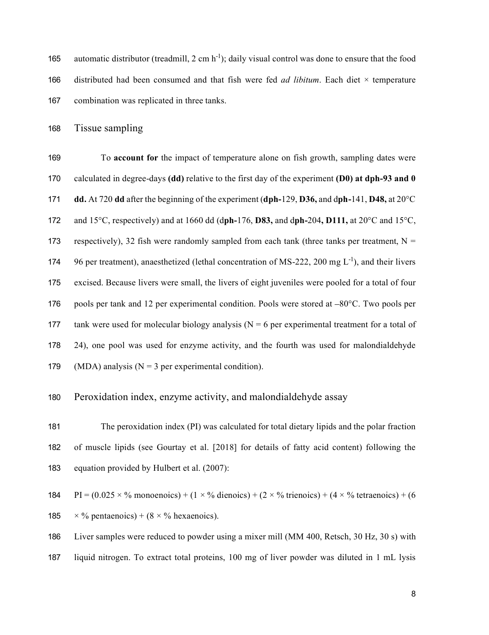165 automatic distributor (treadmill, 2 cm  $h^{-1}$ ); daily visual control was done to ensure that the food distributed had been consumed and that fish were fed *ad libitum*. Each diet × temperature combination was replicated in three tanks.

Tissue sampling

 To **account for** the impact of temperature alone on fish growth, sampling dates were calculated in degree-days **(dd)** relative to the first day of the experiment **(D0) at dph-93 and 0 dd.** At 720 **dd** after the beginning of the experiment (**dph-**129, **D36,** and d**ph-**141, **D48,** at 20°C and 15°C, respectively) and at 1660 dd (d**ph-**176, **D83,** and d**ph-**204**, D111,** at 20°C and 15°C, 173 respectively), 32 fish were randomly sampled from each tank (three tanks per treatment,  $N =$ 174 96 per treatment), anaesthetized (lethal concentration of MS-222, 200 mg  $L^{-1}$ ), and their livers excised. Because livers were small, the livers of eight juveniles were pooled for a total of four 176 pools per tank and 12 per experimental condition. Pools were stored at  $-80^{\circ}$ C. Two pools per 177 tank were used for molecular biology analysis ( $N = 6$  per experimental treatment for a total of 24), one pool was used for enzyme activity, and the fourth was used for malondialdehyde 179 (MDA) analysis ( $N = 3$  per experimental condition).

#### Peroxidation index, enzyme activity, and malondialdehyde assay

 The peroxidation index (PI) was calculated for total dietary lipids and the polar fraction of muscle lipids (see Gourtay et al. [2018] for details of fatty acid content) following the equation provided by Hulbert et al. (2007):

184 PI =  $(0.025 \times \%$  monoenoics) +  $(1 \times \%$  dienoics) +  $(2 \times \%$  trienoics) +  $(4 \times \%$  tetraenoics) +  $(6 \times \%$ 

185  $\times\%$  pentaenoics) + (8  $\times\%$  hexaenoics).

 Liver samples were reduced to powder using a mixer mill (MM 400, Retsch, 30 Hz, 30 s) with liquid nitrogen. To extract total proteins, 100 mg of liver powder was diluted in 1 mL lysis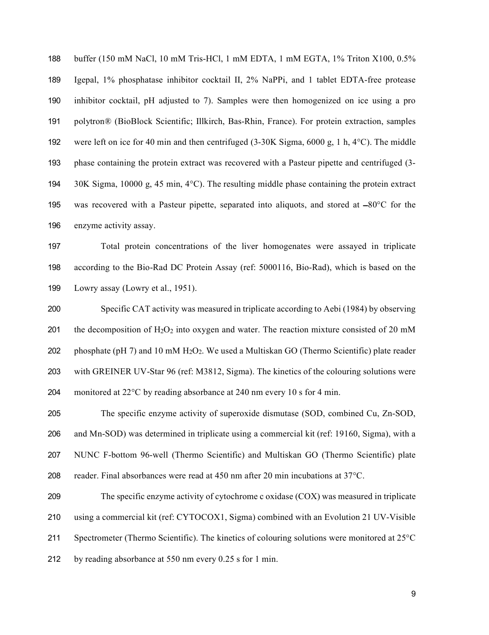buffer (150 mM NaCl, 10 mM Tris-HCl, 1 mM EDTA, 1 mM EGTA, 1% Triton X100, 0.5% Igepal, 1% phosphatase inhibitor cocktail II, 2% NaPPi, and 1 tablet EDTA-free protease inhibitor cocktail, pH adjusted to 7). Samples were then homogenized on ice using a pro polytron® (BioBlock Scientific; Illkirch, Bas-Rhin, France). For protein extraction, samples were left on ice for 40 min and then centrifuged (3-30K Sigma, 6000 g, 1 h, 4°C). The middle phase containing the protein extract was recovered with a Pasteur pipette and centrifuged (3- 30K Sigma, 10000 g, 45 min, 4°C). The resulting middle phase containing the protein extract 195 was recovered with a Pasteur pipette, separated into aliquots, and stored at  $-80^{\circ}$ C for the enzyme activity assay.

 Total protein concentrations of the liver homogenates were assayed in triplicate according to the Bio-Rad DC Protein Assay (ref: 5000116, Bio-Rad), which is based on the Lowry assay (Lowry et al., 1951).

 Specific CAT activity was measured in triplicate according to Aebi (1984) by observing 201 the decomposition of  $H_2O_2$  into oxygen and water. The reaction mixture consisted of 20 mM 202 phosphate (pH 7) and 10 mM  $H_2O_2$ . We used a Multiskan GO (Thermo Scientific) plate reader with GREINER UV-Star 96 (ref: M3812, Sigma). The kinetics of the colouring solutions were monitored at 22°C by reading absorbance at 240 nm every 10 s for 4 min.

 The specific enzyme activity of superoxide dismutase (SOD, combined Cu, Zn-SOD, and Mn-SOD) was determined in triplicate using a commercial kit (ref: 19160, Sigma), with a NUNC F-bottom 96-well (Thermo Scientific) and Multiskan GO (Thermo Scientific) plate 208 reader. Final absorbances were read at nm after 20 min incubations at  $37^{\circ}$ C.

 The specific enzyme activity of cytochrome c oxidase (COX) was measured in triplicate using a commercial kit (ref: CYTOCOX1, Sigma) combined with an Evolution 21 UV-Visible 211 Spectrometer (Thermo Scientific). The kinetics of colouring solutions were monitored at 25<sup>o</sup>C by reading absorbance at 550 nm every 0.25 s for 1 min.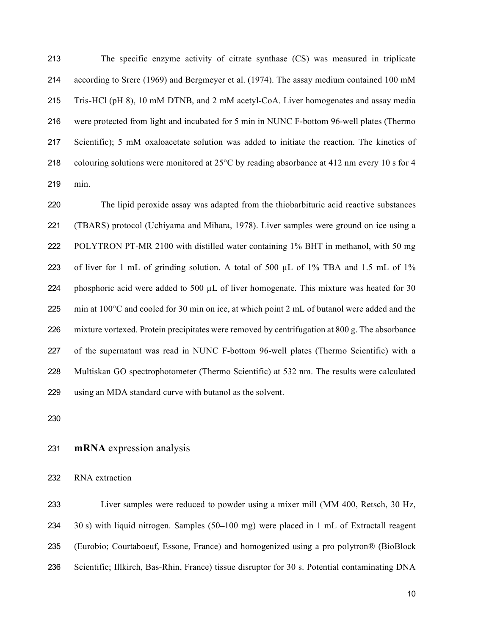The specific enzyme activity of citrate synthase (CS) was measured in triplicate according to Srere (1969) and Bergmeyer et al. (1974). The assay medium contained 100 mM Tris-HCl (pH 8), 10 mM DTNB, and 2 mM acetyl-CoA. Liver homogenates and assay media were protected from light and incubated for 5 min in NUNC F-bottom 96-well plates (Thermo Scientific); 5 mM oxaloacetate solution was added to initiate the reaction. The kinetics of colouring solutions were monitored at 25°C by reading absorbance at 412 nm every 10 s for 4 min.

 The lipid peroxide assay was adapted from the thiobarbituric acid reactive substances (TBARS) protocol (Uchiyama and Mihara, 1978). Liver samples were ground on ice using a POLYTRON PT-MR 2100 with distilled water containing 1% BHT in methanol, with 50 mg 223 of liver for 1 mL of grinding solution. A total of 500 µL of 1% TBA and 1.5 mL of 1% 224 phosphoric acid were added to 500  $\mu$ L of liver homogenate. This mixture was heated for 30 225 min at  $100^{\circ}$ C and cooled for 30 min on ice, at which point 2 mL of butanol were added and the mixture vortexed. Protein precipitates were removed by centrifugation at 800 g. The absorbance of the supernatant was read in NUNC F-bottom 96-well plates (Thermo Scientific) with a Multiskan GO spectrophotometer (Thermo Scientific) at 532 nm. The results were calculated using an MDA standard curve with butanol as the solvent.

#### **mRNA** expression analysis

RNA extraction

 Liver samples were reduced to powder using a mixer mill (MM 400, Retsch, 30 Hz, 234 30 s) with liquid nitrogen. Samples (50–100 mg) were placed in 1 mL of Extractall reagent (Eurobio; Courtaboeuf, Essone, France) and homogenized using a pro polytron® (BioBlock Scientific; Illkirch, Bas-Rhin, France) tissue disruptor for 30 s. Potential contaminating DNA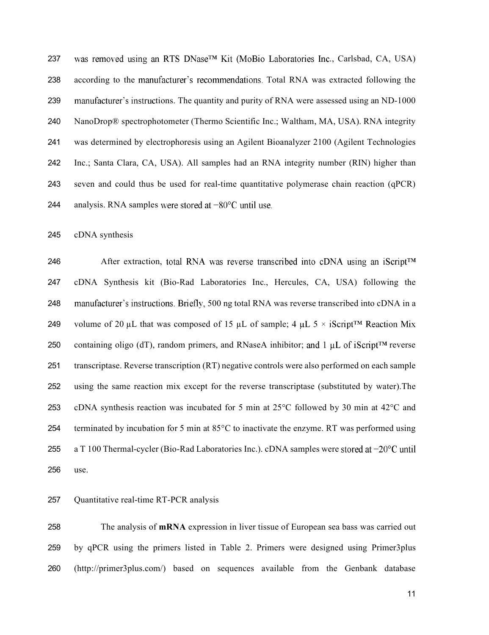237 was removed using an RTS DNase<sup>TM</sup> Kit (MoBio Laboratories Inc., Carlsbad, CA, USA) 238 according to the manufacturer's recommendations. Total RNA was extracted following the 239 manufacturer's instructions. The quantity and purity of RNA were assessed using an ND-1000 NanoDrop® spectrophotometer (Thermo Scientific Inc.; Waltham, MA, USA). RNA integrity was determined by electrophoresis using an Agilent Bioanalyzer 2100 (Agilent Technologies Inc.; Santa Clara, CA, USA). All samples had an RNA integrity number (RIN) higher than seven and could thus be used for real-time quantitative polymerase chain reaction (qPCR) 244 analysis. RNA samples were stored at  $-80^{\circ}$ C until use.

cDNA synthesis

246 After extraction, total RNA was reverse transcribed into cDNA using an iScript<sup>TM</sup> cDNA Synthesis kit (Bio-Rad Laboratories Inc., Hercules, CA, USA) following the 248 manufacturer's instructions. Briefly, 500 ng total RNA was reverse transcribed into cDNA in a 249 volume of 20 µL that was composed of 15 µL of sample; 4 µL  $5 \times i$ Script<sup>TM</sup> Reaction Mix 250 containing oligo (dT), random primers, and RNaseA inhibitor; and 1  $\mu$ L of iScript<sup>TM</sup> reverse transcriptase. Reverse transcription (RT) negative controls were also performed on each sample using the same reaction mix except for the reverse transcriptase (substituted by water).The cDNA synthesis reaction was incubated for 5 min at 25°C followed by 30 min at 42°C and terminated by incubation for 5 min at 85°C to inactivate the enzyme. RT was performed using 255 a T 100 Thermal-cycler (Bio-Rad Laboratories Inc.). cDNA samples were stored at  $-20^{\circ}$ C until use.

#### Quantitative real-time RT-PCR analysis

 The analysis of **mRNA** expression in liver tissue of European sea bass was carried out by qPCR using the primers listed in Table 2. Primers were designed using Primer3plus [\(http://primer3plus.com/\) based on sequences available from the Genbank]((http://primer3plus.com/) based on sequences available from the Genbank ) database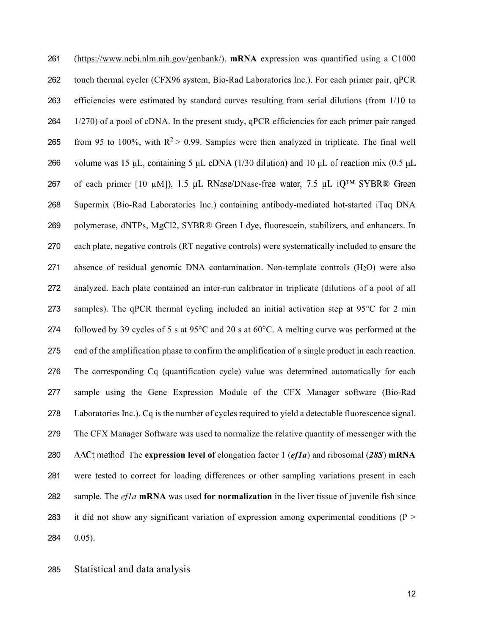[\(https://www.ncbi.nlm.nih.gov/genbank](https://www.ncbi.nlm.nih.gov/genbank/)/). **mRNA** expression was quantified using a C1000 touch thermal cycler (CFX96 system, Bio-Rad Laboratories Inc.). For each primer pair, qPCR efficiencies were estimated by standard curves resulting from serial dilutions (from 1/10 to 1/270) of a pool of cDNA. In the present study, qPCR efficiencies for each primer pair ranged 265 from 95 to 100%, with  $R^2 > 0.99$ . Samples were then analyzed in triplicate. The final well 266 volume was 15  $\mu$ L, containing 5  $\mu$ L cDNA (1/30 dilution) and 10  $\mu$ L of reaction mix (0.5  $\mu$ L 267 of each primer [10  $\mu$ M]), 1.5  $\mu$ L RNase/DNase-free water, 7.5  $\mu$ L iQ<sup>TM</sup> SYBR® Green Supermix (Bio-Rad Laboratories Inc.) containing antibody-mediated hot-started iTaq DNA polymerase, dNTPs, MgCl2, SYBR® Green I dye, fluorescein, stabilizers, and enhancers. In each plate, negative controls (RT negative controls) were systematically included to ensure the 271 absence of residual genomic DNA contamination. Non-template controls (H<sub>2</sub>O) were also analyzed. Each plate contained an inter-run calibrator in triplicate (dilutions of a pool of all samples). The qPCR thermal cycling included an initial activation step at 95°C for 2 min followed by 39 cycles of 5 s at 95°C and 20 s at 60°C. A melting curve was performed at the end of the amplification phase to confirm the amplification of a single product in each reaction. The corresponding Cq (quantification cycle) value was determined automatically for each sample using the Gene Expression Module of the CFX Manager software (Bio-Rad Laboratories Inc.). Cq is the number of cycles required to yield a detectable fluorescence signal. The CFX Manager Software was used to normalize the relative quantity of messenger with the  $\Delta\Delta$ Ct method. The **expression level of** elongation factor 1 (*ef1a*) and ribosomal (28S) **mRNA**  were tested to correct for loading differences or other sampling variations present in each sample. The *ef1a* **mRNA** was used **for normalization** in the liver tissue of juvenile fish since 283 it did not show any significant variation of expression among experimental conditions ( $P >$ 0.05).

Statistical and data analysis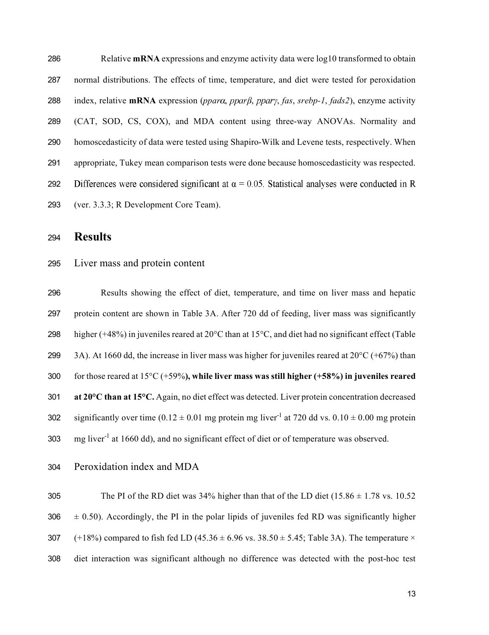| 286 | Relative mRNA expressions and enzyme activity data were log10 transformed to obtain                  |
|-----|------------------------------------------------------------------------------------------------------|
| 287 | normal distributions. The effects of time, temperature, and diet were tested for peroxidation        |
| 288 | index, relative mRNA expression (ppara, ppar $\beta$ , ppary, fas, srebp-1, fads2), enzyme activity  |
| 289 | (CAT, SOD, CS, COX), and MDA content using three-way ANOVAs. Normality and                           |
| 290 | homoscedasticity of data were tested using Shapiro-Wilk and Levene tests, respectively. When         |
| 291 | appropriate, Tukey mean comparison tests were done because homoscedasticity was respected.           |
| 292 | Differences were considered significant at $\alpha$ = 0.05. Statistical analyses were conducted in R |
| 293 | (ver. 3.3.3; R Development Core Team).                                                               |

**Results**

#### Liver mass and protein content

 Results showing the effect of diet, temperature, and time on liver mass and hepatic protein content are shown in Table 3A. After 720 dd of feeding, liver mass was significantly higher (+48%) in juveniles reared at 20°C than at 15°C, and diet had no significant effect (Table 299 3A). At 1660 dd, the increase in liver mass was higher for juveniles reared at  $20^{\circ}$ C (+67%) than for those reared at 15°C (+59%**), while liver mass was still higher (+58%) in juveniles reared at 20°C than at 15°C.** Again, no diet effect was detected. Liver protein concentration decreased 302 significantly over time  $(0.12 \pm 0.01 \text{ mg}$  protein mg liver<sup>-1</sup> at 720 dd vs.  $0.10 \pm 0.00 \text{ mg}$  protein 303 mg liver<sup>-1</sup> at 1660 dd), and no significant effect of diet or of temperature was observed.

Peroxidation index and MDA

305 The PI of the RD diet was  $34\%$  higher than that of the LD diet (15.86  $\pm$  1.78 vs. 10.52  $306 \pm 0.50$ ). Accordingly, the PI in the polar lipids of juveniles fed RD was significantly higher 307 (+18%) compared to fish fed LD (45.36  $\pm$  6.96 vs. 38.50  $\pm$  5.45; Table 3A). The temperature  $\times$ diet interaction was significant although no difference was detected with the post-hoc test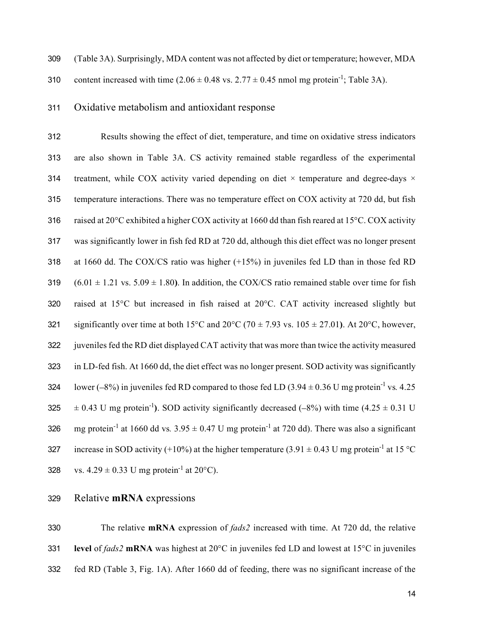309 (Table 3A). Surprisingly, MDA content was not affected by diet or temperature; however, MDA

310 content increased with time  $(2.06 \pm 0.48 \text{ vs. } 2.77 \pm 0.45 \text{ nmol mg protein}^{-1}$ ; Table 3A).

#### 311 Oxidative metabolism and antioxidant response

312 Results showing the effect of diet, temperature, and time on oxidative stress indicators 313 are also shown in Table 3A. CS activity remained stable regardless of the experimental 314 treatment, while COX activity varied depending on diet  $\times$  temperature and degree-days  $\times$ 315 temperature interactions. There was no temperature effect on COX activity at 720 dd, but fish 316 raised at  $20^{\circ}$ C exhibited a higher COX activity at 1660 dd than fish reared at 15 $^{\circ}$ C. COX activity 317 was significantly lower in fish fed RD at 720 dd, although this diet effect was no longer present 318 at 1660 dd. The COX/CS ratio was higher (+15%) in juveniles fed LD than in those fed RD 319  $(6.01 \pm 1.21 \text{ vs. } 5.09 \pm 1.80)$ . In addition, the COX/CS ratio remained stable over time for fish 320 raised at 15°C but increased in fish raised at 20°C. CAT activity increased slightly but 321 significantly over time at both 15<sup>o</sup>C and 20<sup>o</sup>C (70  $\pm$  7.93 vs. 105  $\pm$  27.01). At 20<sup>o</sup>C, however, 322 juveniles fed the RD diet displayed CAT activity that was more than twice the activity measured 323 in LD-fed fish. At 1660 dd, the diet effect was no longer present. SOD activity was significantly 324 lower  $(-8%)$  in juveniles fed RD compared to those fed LD  $(3.94 \pm 0.36 \text{ U m})$  protein<sup>-1</sup> vs. 4.25 325  $\pm$  0.43 U mg protein<sup>-1</sup>). SOD activity significantly decreased (-8%) with time (4.25  $\pm$  0.31 U 326 mg protein<sup>-1</sup> at 1660 dd vs.  $3.95 \pm 0.47$  U mg protein<sup>-1</sup> at 720 dd). There was also a significant 327 increase in SOD activity (+10%) at the higher temperature (3.91  $\pm$  0.43 U mg protein<sup>-1</sup> at 15 °C 328 vs.  $4.29 \pm 0.33$  U mg protein<sup>-1</sup> at 20<sup>o</sup>C).

#### 329 Relative **mRNA** expressions

330 The relative **mRNA** expression of *fads2* increased with time. At 720 dd, the relative 331 **level** of *fads2* **mRNA** was highest at 20°C in juveniles fed LD and lowest at 15°C in juveniles 332 fed RD (Table 3, Fig. 1A). After 1660 dd of feeding, there was no significant increase of the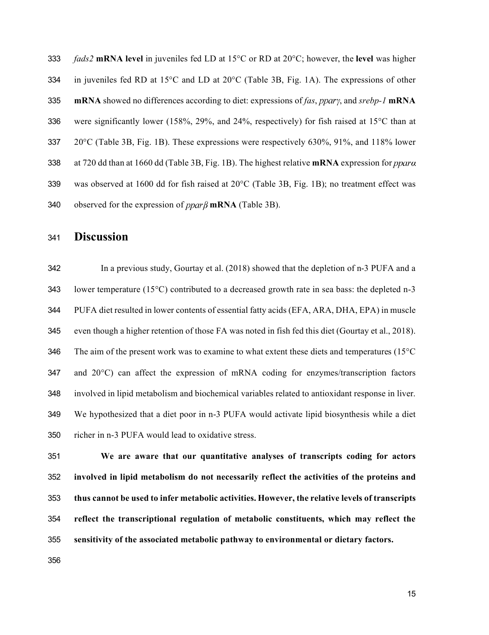*fads2* **mRNA level** in juveniles fed LD at 15°C or RD at 20°C; however, the **level** was higher in juveniles fed RD at 15°C and LD at 20°C (Table 3B, Fig. 1A). The expressions of other **mRNA** showed no differences according to diet: expressions of *fas*, *ppary*, and *srebp-1* **mRNA** 336 were significantly lower (158%, 29%, and 24%, respectively) for fish raised at 15 $\degree$ C than at 20°C (Table 3B, Fig. 1B). These expressions were respectively 630%, 91%, and 118% lower 338 at 720 dd than at 1660 dd (Table 3B, Fig. 1B). The highest relative **mRNA** expression for *ppara*  was observed at 1600 dd for fish raised at 20°C (Table 3B, Fig. 1B); no treatment effect was 340 observed for the expression of  $ppar\beta$  mRNA (Table 3B).

## **Discussion**

 In a previous study, Gourtay et al. (2018) showed that the depletion of n-3 PUFA and a lower temperature (15°C) contributed to a decreased growth rate in sea bass: the depleted n-3 PUFA diet resulted in lower contents of essential fatty acids (EFA, ARA, DHA, EPA) in muscle even though a higher retention of those FA was noted in fish fed this diet (Gourtay et al., 2018). 346 The aim of the present work was to examine to what extent these diets and temperatures (15<sup>o</sup>C and 20°C) can affect the expression of mRNA coding for enzymes/transcription factors involved in lipid metabolism and biochemical variables related to antioxidant response in liver. We hypothesized that a diet poor in n-3 PUFA would activate lipid biosynthesis while a diet richer in n-3 PUFA would lead to oxidative stress.

 **We are aware that our quantitative analyses of transcripts coding for actors involved in lipid metabolism do not necessarily reflect the activities of the proteins and thus cannot be used to infer metabolic activities. However, the relative levels of transcripts reflect the transcriptional regulation of metabolic constituents, which may reflect the sensitivity of the associated metabolic pathway to environmental or dietary factors.**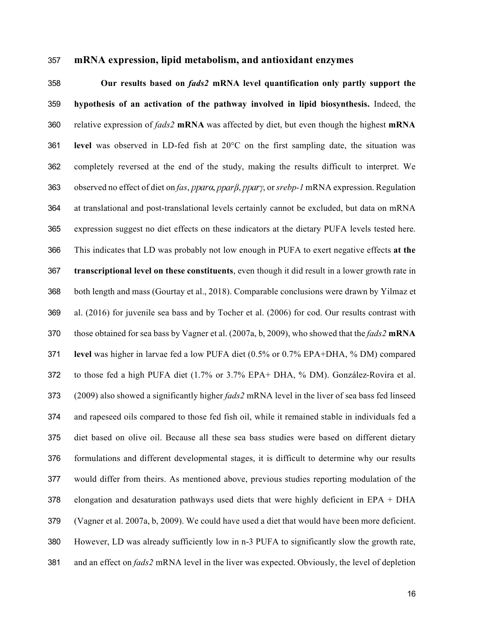#### **mRNA expression, lipid metabolism, and antioxidant enzymes**

 **Our results based on** *fads2* **mRNA level quantification only partly support the hypothesis of an activation of the pathway involved in lipid biosynthesis.** Indeed, the relative expression of *fads2* **mRNA** was affected by diet, but even though the highest **mRNA level** was observed in LD-fed fish at 20°C on the first sampling date, the situation was completely reversed at the end of the study, making the results difficult to interpret. We 363 observed no effect of diet on *fas*, ppara, ppar<sub>l</sub>, ppary, or *srebp-1* mRNA expression. Regulation at translational and post-translational levels certainly cannot be excluded, but data on mRNA expression suggest no diet effects on these indicators at the dietary PUFA levels tested here. This indicates that LD was probably not low enough in PUFA to exert negative effects **at the transcriptional level on these constituents**, even though it did result in a lower growth rate in both length and mass (Gourtay et al., 2018). Comparable conclusions were drawn by Yilmaz et al. (2016) for juvenile sea bass and by Tocher et al. (2006) for cod. Our results contrast with those obtained for sea bass by Vagner et al. (2007a, b, 2009), who showed that the *fads2* **mRNA level** was higher in larvae fed a low PUFA diet (0.5% or 0.7% EPA+DHA, % DM) compared to those fed a high PUFA diet (1.7% or 3.7% EPA+ DHA, % DM). González-Rovira et al. (2009) also showed a significantly higher *fads2* mRNA level in the liver of sea bass fed linseed and rapeseed oils compared to those fed fish oil, while it remained stable in individuals fed a diet based on olive oil. Because all these sea bass studies were based on different dietary formulations and different developmental stages, it is difficult to determine why our results would differ from theirs. As mentioned above, previous studies reporting modulation of the 378 elongation and desaturation pathways used diets that were highly deficient in EPA + DHA (Vagner et al. 2007a, b, 2009). We could have used a diet that would have been more deficient. However, LD was already sufficiently low in n-3 PUFA to significantly slow the growth rate, and an effect on *fads2* mRNA level in the liver was expected. Obviously, the level of depletion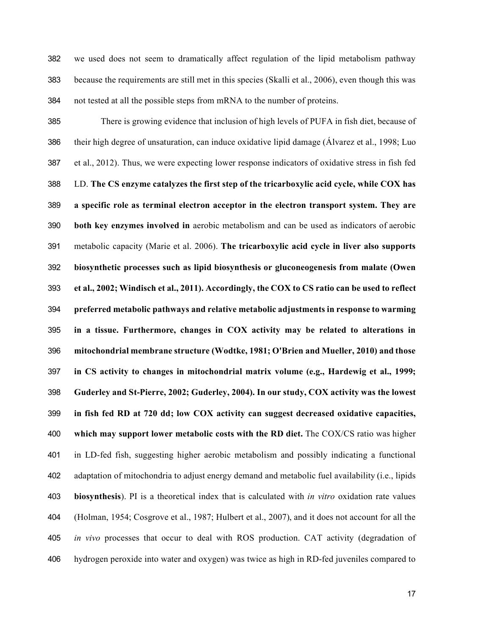we used does not seem to dramatically affect regulation of the lipid metabolism pathway because the requirements are still met in this species (Skalli et al., 2006), even though this was not tested at all the possible steps from mRNA to the number of proteins.

 There is growing evidence that inclusion of high levels of PUFA in fish diet, because of their high degree of unsaturation, can induce oxidative lipid damage (Álvarez et al., 1998; Luo et al., 2012). Thus, we were expecting lower response indicators of oxidative stress in fish fed LD. **The CS enzyme catalyzes the first step of the tricarboxylic acid cycle, while COX has a specific role as terminal electron acceptor in the electron transport system. They are both key enzymes involved in** aerobic metabolism and can be used as indicators of aerobic metabolic capacity (Marie et al. 2006). **The tricarboxylic acid cycle in liver also supports biosynthetic processes such as lipid biosynthesis or gluconeogenesis from malate (Owen et al., 2002; Windisch et al., 2011). Accordingly, the COX to CS ratio can be used to reflect preferred metabolic pathways and relative metabolic adjustments in response to warming in a tissue. Furthermore, changes in COX activity may be related to alterations in mitochondrial membrane structure (Wodtke, 1981; O'Brien and Mueller, 2010) and those in CS activity to changes in mitochondrial matrix volume (e.g., Hardewig et al., 1999; Guderley and St-Pierre, 2002; Guderley, 2004). In our study, COX activity was the lowest in fish fed RD at 720 dd; low COX activity can suggest decreased oxidative capacities, which may support lower metabolic costs with the RD diet.** The COX/CS ratio was higher in LD-fed fish, suggesting higher aerobic metabolism and possibly indicating a functional adaptation of mitochondria to adjust energy demand and metabolic fuel availability (i.e., lipids **biosynthesis**). PI is a theoretical index that is calculated with *in vitro* oxidation rate values (Holman, 1954; Cosgrove et al., 1987; Hulbert et al., 2007), and it does not account for all the *in vivo* processes that occur to deal with ROS production. CAT activity (degradation of hydrogen peroxide into water and oxygen) was twice as high in RD-fed juveniles compared to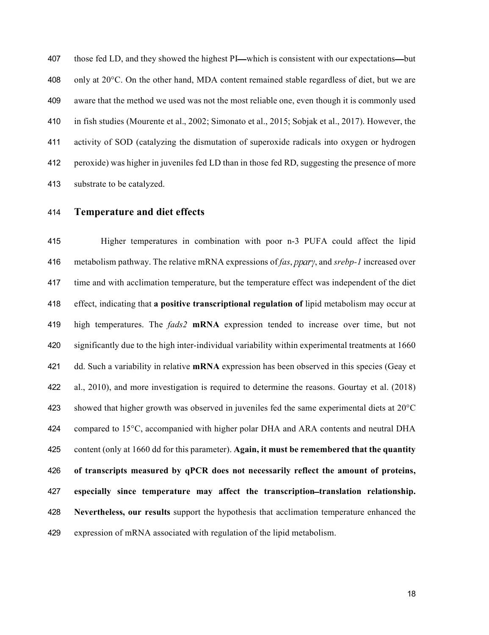407 those fed LD, and they showed the highest PI—which is consistent with our expectations—but 408 only at  $20^{\circ}$ C. On the other hand, MDA content remained stable regardless of diet, but we are aware that the method we used was not the most reliable one, even though it is commonly used in fish studies (Mourente et al., 2002; Simonato et al., 2015; Sobjak et al., 2017). However, the activity of SOD (catalyzing the dismutation of superoxide radicals into oxygen or hydrogen peroxide) was higher in juveniles fed LD than in those fed RD, suggesting the presence of more substrate to be catalyzed.

**Temperature and diet effects**

 Higher temperatures in combination with poor n-3 PUFA could affect the lipid 416 metabolism pathway. The relative mRNA expressions of *fas*, *ppary*, and *srebp-1* increased over time and with acclimation temperature, but the temperature effect was independent of the diet effect, indicating that **a positive transcriptional regulation of** lipid metabolism may occur at high temperatures. The *fads2* **mRNA** expression tended to increase over time, but not significantly due to the high inter-individual variability within experimental treatments at 1660 dd. Such a variability in relative **mRNA** expression has been observed in this species (Geay et al., 2010), and more investigation is required to determine the reasons. Gourtay et al. (2018) 423 showed that higher growth was observed in juveniles fed the same experimental diets at  $20^{\circ}$ C 424 compared to 15°C, accompanied with higher polar DHA and ARA contents and neutral DHA content (only at 1660 dd for this parameter). **Again, it must be remembered that the quantity of transcripts measured by qPCR does not necessarily reflect the amount of proteins, especially since temperature may affect the transcription translation relationship. Nevertheless, our results** support the hypothesis that acclimation temperature enhanced the expression of mRNA associated with regulation of the lipid metabolism.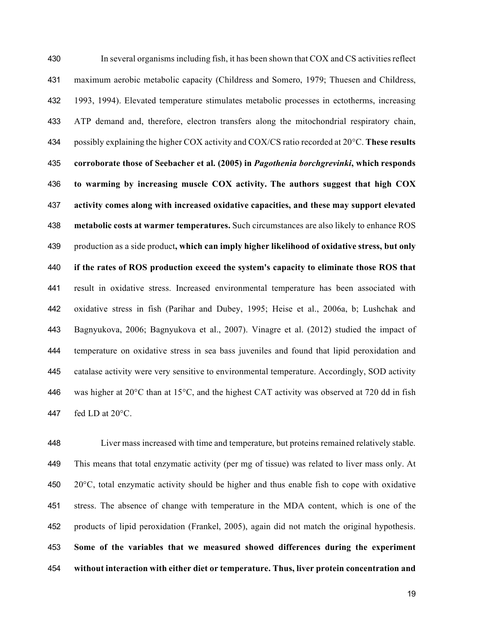In several organisms including fish, it has been shown that COX and CS activities reflect maximum aerobic metabolic capacity (Childress and Somero, 1979; Thuesen and Childress, 1993, 1994). Elevated temperature stimulates metabolic processes in ectotherms, increasing ATP demand and, therefore, electron transfers along the mitochondrial respiratory chain, possibly explaining the higher COX activity and COX/CS ratio recorded at 20°C. **These results corroborate those of Seebacher et al. (2005) in** *Pagothenia borchgrevinki***, which responds to warming by increasing muscle COX activity. The authors suggest that high COX activity comes along with increased oxidative capacities, and these may support elevated metabolic costs at warmer temperatures.** Such circumstances are also likely to enhance ROS production as a side product**, which can imply higher likelihood of oxidative stress, but only if the rates of ROS production exceed the system's capacity to eliminate those ROS that**  result in oxidative stress. Increased environmental temperature has been associated with oxidative stress in fish (Parihar and Dubey, 1995; Heise et al., 2006a, b; Lushchak and Bagnyukova, 2006; Bagnyukova et al., 2007). Vinagre et al. (2012) studied the impact of temperature on oxidative stress in sea bass juveniles and found that lipid peroxidation and catalase activity were very sensitive to environmental temperature. Accordingly, SOD activity 446 was higher at  $20^{\circ}$ C than at 15 $^{\circ}$ C, and the highest CAT activity was observed at 720 dd in fish 447 fed LD at  $20^{\circ}$ C.

 Liver mass increased with time and temperature, but proteins remained relatively stable. This means that total enzymatic activity (per mg of tissue) was related to liver mass only. At  $20^{\circ}$ C, total enzymatic activity should be higher and thus enable fish to cope with oxidative stress. The absence of change with temperature in the MDA content, which is one of the products of lipid peroxidation (Frankel, 2005), again did not match the original hypothesis. **Some of the variables that we measured showed differences during the experiment without interaction with either diet or temperature. Thus, liver protein concentration and**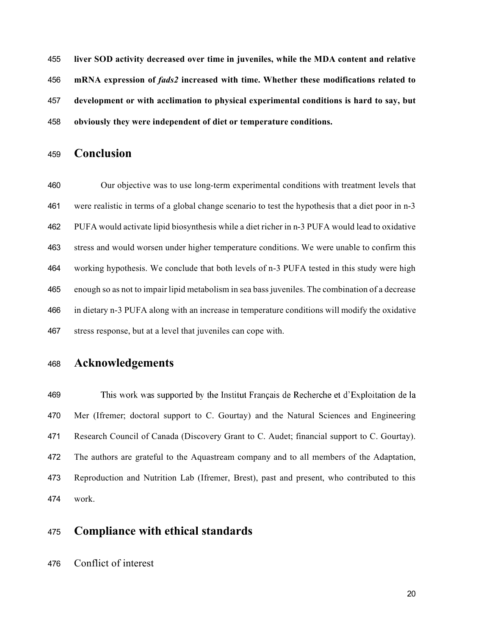**liver SOD activity decreased over time in juveniles, while the MDA content and relative mRNA expression of** *fads2* **increased with time. Whether these modifications related to development or with acclimation to physical experimental conditions is hard to say, but obviously they were independent of diet or temperature conditions.**

### **Conclusion**

 Our objective was to use long-term experimental conditions with treatment levels that were realistic in terms of a global change scenario to test the hypothesis that a diet poor in n-3 PUFA would activate lipid biosynthesis while a diet richer in n-3 PUFA would lead to oxidative stress and would worsen under higher temperature conditions. We were unable to confirm this working hypothesis. We conclude that both levels of n-3 PUFA tested in this study were high enough so as not to impair lipid metabolism in sea bass juveniles. The combination of a decrease in dietary n-3 PUFA along with an increase in temperature conditions will modify the oxidative stress response, but at a level that juveniles can cope with.

## **Acknowledgements**

 This work was supported by the Institut Français de Recherche et d'Exploitation de la Mer (Ifremer; doctoral support to C. Gourtay) and the Natural Sciences and Engineering Research Council of Canada (Discovery Grant to C. Audet; financial support to C. Gourtay). The authors are grateful to the Aquastream company and to all members of the Adaptation, Reproduction and Nutrition Lab (Ifremer, Brest), past and present, who contributed to this work.

## **Compliance with ethical standards**

Conflict of interest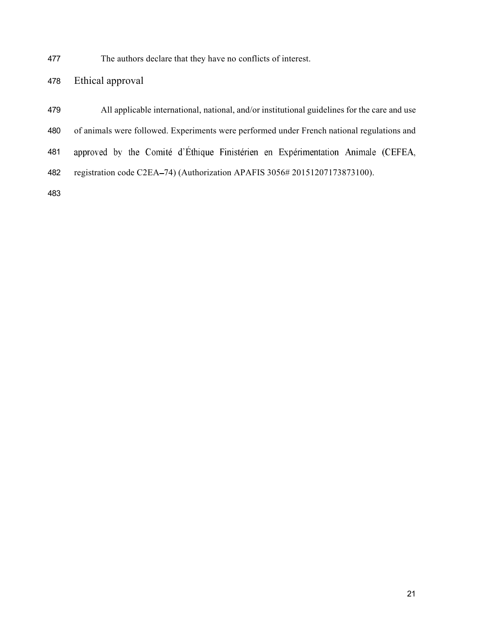The authors declare that they have no conflicts of interest.

# Ethical approval

| 479 | All applicable international, national, and/or institutional guidelines for the care and use |
|-----|----------------------------------------------------------------------------------------------|
| 480 | of animals were followed. Experiments were performed under French national regulations and   |
| 481 | approved by the Comité d'Éthique Finistérien en Expérimentation Animale (CEFEA,              |
| 482 | registration code C2EA–74) (Authorization APAFIS 3056# 20151207173873100).                   |
| 483 |                                                                                              |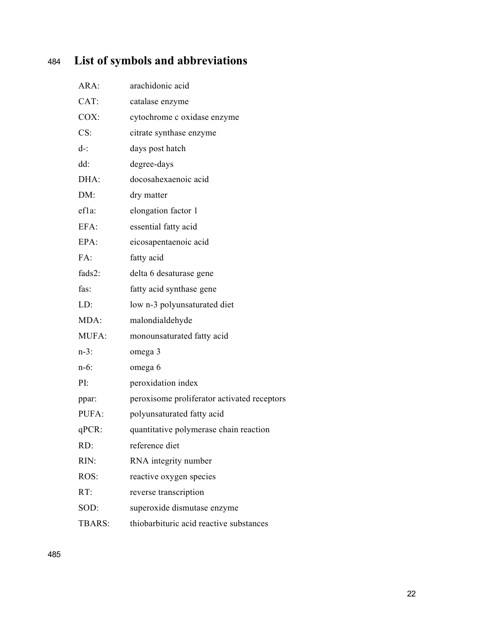# <sup>484</sup> **List of symbols and abbreviations**

| ARA:         | arachidonic acid                            |
|--------------|---------------------------------------------|
| CAT:         | catalase enzyme                             |
| COX:         | cytochrome c oxidase enzyme                 |
| CS:          | citrate synthase enzyme                     |
| $d-$ :       | days post hatch                             |
| dd:          | degree-days                                 |
| DHA:         | docosahexaenoic acid                        |
| DM:          | dry matter                                  |
| $eff1a$ :    | elongation factor 1                         |
| EFA:         | essential fatty acid                        |
| EPA:         | eicosapentaenoic acid                       |
| FA:          | fatty acid                                  |
| fads2:       | delta 6 desaturase gene                     |
| fas:         | fatty acid synthase gene                    |
| LD:          | low n-3 polyunsaturated diet                |
| MDA:         | malondialdehyde                             |
| <b>MUFA:</b> | monounsaturated fatty acid                  |
| $n-3$ :      | omega 3                                     |
| $n-6$ :      | omega 6                                     |
| PI:          | peroxidation index                          |
| ppar:        | peroxisome proliferator activated receptors |
| PUFA:        | polyunsaturated fatty acid                  |
| qPCR:        | quantitative polymerase chain reaction      |
| RD:          | reference diet                              |
| RIN:         | RNA integrity number                        |
| ROS:         | reactive oxygen species                     |
| RT:          | reverse transcription                       |
| SOD:         | superoxide dismutase enzyme                 |
| TBARS:       | thiobarbituric acid reactive substances     |
|              |                                             |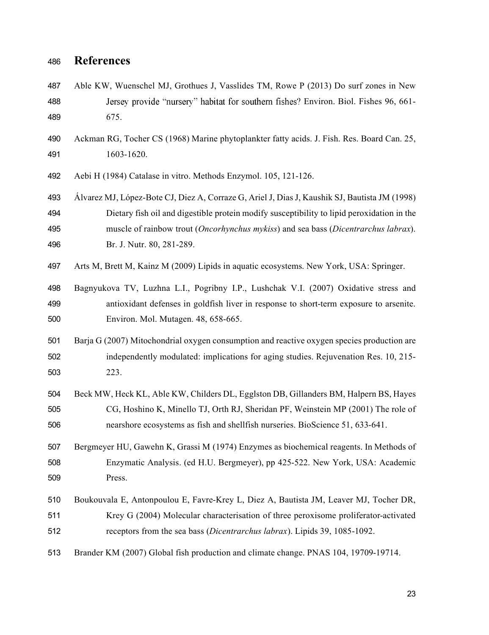## **References**

- Able KW, Wuenschel MJ, Grothues J, Vasslides TM, Rowe P (2013) Do surf zones in New **Environt** Jersey provide "nursery" habitat for southern fishes ? Environ. Biol. Fishes 96, 661-675.
- Ackman RG, Tocher CS (1968) Marine phytoplankter fatty acids. J. Fish. Res. Board Can. 25, 1603-1620.
- Aebi H (1984) Catalase in vitro. Methods Enzymol. 105, 121-126.
- Álvarez MJ, López-Bote CJ, Diez A, Corraze G, Ariel J, Dias J, Kaushik SJ, Bautista JM (1998) Dietary fish oil and digestible protein modify susceptibility to lipid peroxidation in the muscle of rainbow trout (*Oncorhynchus mykiss*) and sea bass (*Dicentrarchus labrax*). Br. J. Nutr. 80, 281-289.
- Arts M, Brett M, Kainz M (2009) Lipids in aquatic ecosystems. New York, USA: Springer.
- Bagnyukova TV, Luzhna L.I., Pogribny I.P., Lushchak V.I. (2007) Oxidative stress and antioxidant defenses in goldfish liver in response to short-term exposure to arsenite. Environ. Mol. Mutagen. 48, 658-665.
- Barja G (2007) Mitochondrial oxygen consumption and reactive oxygen species production are independently modulated: implications for aging studies. Rejuvenation Res. 10, 215- 223.
- Beck MW, Heck KL, Able KW, Childers DL, Egglston DB, Gillanders BM, Halpern BS, Hayes CG, Hoshino K, Minello TJ, Orth RJ, Sheridan PF, Weinstein MP (2001) The role of nearshore ecosystems as fish and shellfish nurseries. BioScience 51, 633-641.
- Bergmeyer HU, Gawehn K, Grassi M (1974) Enzymes as biochemical reagents. In Methods of Enzymatic Analysis. (ed H.U. Bergmeyer), pp 425-522. New York, USA: Academic Press.
- Boukouvala E, Antonpoulou E, Favre-Krey L, Diez A, Bautista JM, Leaver MJ, Tocher DR, Krey G (2004) Molecular characterisation of three peroxisome proliferator-activated receptors from the sea bass (*Dicentrarchus labrax*). Lipids 39, 1085-1092.
- Brander KM (2007) Global fish production and climate change. PNAS 104, 19709-19714.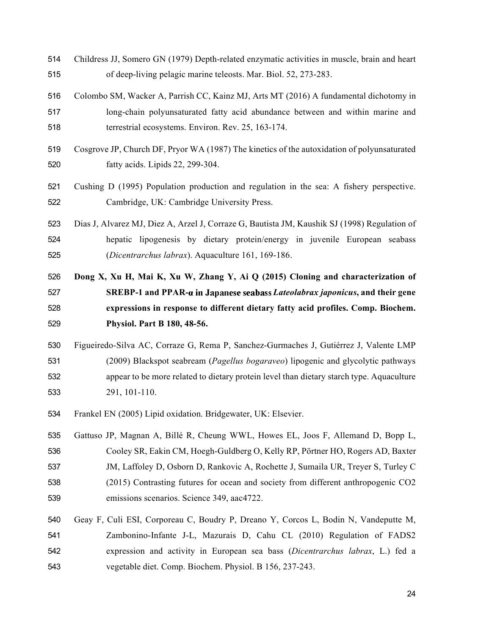- Childress JJ, Somero GN (1979) Depth-related enzymatic activities in muscle, brain and heart of deep-living pelagic marine teleosts. Mar. Biol. 52, 273-283.
- Colombo SM, Wacker A, Parrish CC, Kainz MJ, Arts MT (2016) A fundamental dichotomy in long-chain polyunsaturated fatty acid abundance between and within marine and terrestrial ecosystems. Environ. Rev. 25, 163-174.
- Cosgrove JP, Church DF, Pryor WA (1987) The kinetics of the autoxidation of polyunsaturated fatty acids. Lipids 22, 299-304.
- Cushing D (1995) Population production and regulation in the sea: A fishery perspective. Cambridge, UK: Cambridge University Press.
- Dias J, Alvarez MJ, Diez A, Arzel J, Corraze G, Bautista JM, Kaushik SJ (1998) Regulation of hepatic lipogenesis by dietary protein/energy in juvenile European seabass (*Dicentrarchus labrax*). Aquaculture 161, 169-186.
- **Dong X, Xu H, Mai K, Xu W, Zhang Y, Ai Q (2015) Cloning and characterization of SREBP-1 and PPAR-***a* **in Japanese seabass Lateolabrax japonicus, and their gene expressions in response to different dietary fatty acid profiles. Comp. Biochem. Physiol. Part B 180, 48-56.**
- Figueiredo-Silva AC, Corraze G, Rema P, Sanchez-Gurmaches J, Gutiérrez J, Valente LMP (2009) Blackspot seabream (*Pagellus bogaraveo*) lipogenic and glycolytic pathways appear to be more related to dietary protein level than dietary starch type. Aquaculture 291, 101-110.
- Frankel EN (2005) Lipid oxidation. Bridgewater, UK: Elsevier.
- Gattuso JP, Magnan A, Billé R, Cheung WWL, Howes EL, Joos F, Allemand D, Bopp L, Cooley SR, Eakin CM, Hoegh-Guldberg O, Kelly RP, Pörtner HO, Rogers AD, Baxter JM, Laffoley D, Osborn D, Rankovic A, Rochette J, Sumaila UR, Treyer S, Turley C (2015) Contrasting futures for ocean and society from different anthropogenic CO2 emissions scenarios. Science 349, aac4722.
- Geay F, Culi ESI, Corporeau C, Boudry P, Dreano Y, Corcos L, Bodin N, Vandeputte M, Zambonino-Infante J-L, Mazurais D, Cahu CL (2010) Regulation of FADS2 expression and activity in European sea bass (*Dicentrarchus labrax*, L.) fed a vegetable diet. Comp. Biochem. Physiol. B 156, 237-243.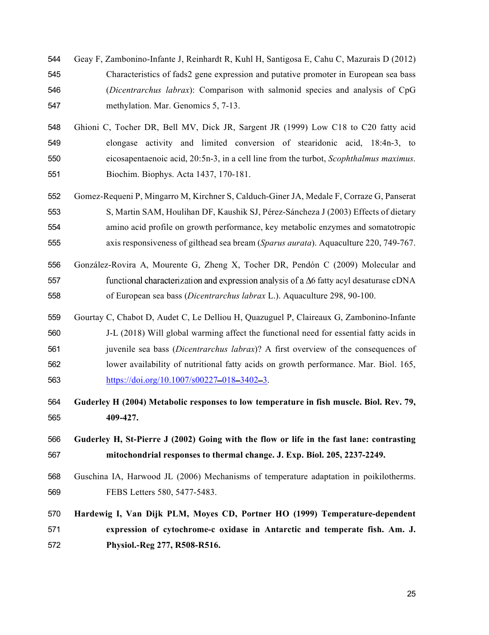- Geay F, Zambonino-Infante J, Reinhardt R, Kuhl H, Santigosa E, Cahu C, Mazurais D (2012) Characteristics of fads2 gene expression and putative promoter in European sea bass (*Dicentrarchus labrax*): Comparison with salmonid species and analysis of CpG methylation. Mar. Genomics 5, 7-13.
- Ghioni C, Tocher DR, Bell MV, Dick JR, Sargent JR (1999) Low C18 to C20 fatty acid elongase activity and limited conversion of stearidonic acid, 18:4n-3, to eicosapentaenoic acid, 20:5n-3, in a cell line from the turbot, *Scophthalmus maximus*. Biochim. Biophys. Acta 1437, 170-181.
- Gomez-Requeni P, Mingarro M, Kirchner S, Calduch-Giner JA, Medale F, Corraze G, Panserat S, Martin SAM, Houlihan DF, Kaushik SJ, Pérez-Sáncheza J (2003) Effects of dietary amino acid profile on growth performance, key metabolic enzymes and somatotropic axis responsiveness of gilthead sea bream (*Sparus aurata*). Aquaculture 220, 749-767.
- González-Rovira A, Mourente G, Zheng X, Tocher DR, Pendón C (2009) Molecular and 557 functional characterization and expression analysis of a  $\Delta 6$  fatty acyl desaturase cDNA of European sea bass (*Dicentrarchus labrax* L.). Aquaculture 298, 90-100.
- Gourtay C, Chabot D, Audet C, Le Delliou H, Quazuguel P, Claireaux G, Zambonino-Infante J-L (2018) Will global warming affect the functional need for essential fatty acids in juvenile sea bass (*Dicentrarchus labrax*)? A first overview of the consequences of lower availability of nutritional fatty acids on growth performance. Mar. Biol. 165, 563 https://doi.org/10.1007/s00227-018-3402-3.
- **Guderley H (2004) Metabolic responses to low temperature in fish muscle. Biol. Rev. 79, 409-427.**
- **Guderley H, St-Pierre J (2002) Going with the flow or life in the fast lane: contrasting mitochondrial responses to thermal change. J. Exp. Biol. 205, 2237-2249.**
- Guschina IA, Harwood JL (2006) Mechanisms of temperature adaptation in poikilotherms. FEBS Letters 580, 5477-5483.
- **Hardewig I, Van Dijk PLM, Moyes CD, Portner HO (1999) Temperature-dependent expression of cytochrome-c oxidase in Antarctic and temperate fish. Am. J. Physiol.-Reg 277, R508-R516.**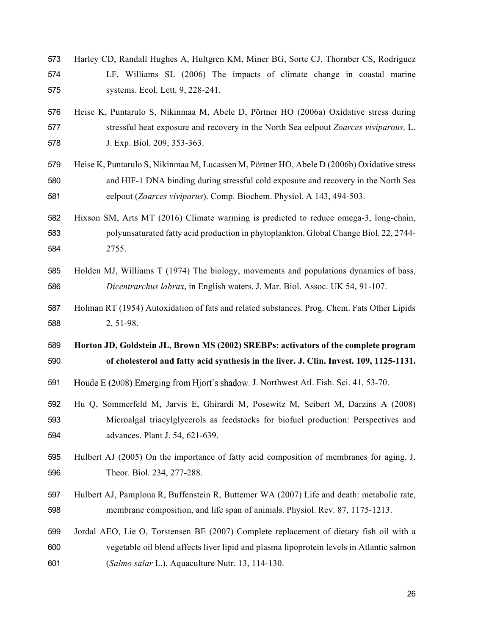- Harley CD, Randall Hughes A, Hultgren KM, Miner BG, Sorte CJ, Thornber CS, Rodriguez LF, Williams SL (2006) The impacts of climate change in coastal marine systems. Ecol. Lett. 9, 228-241.
- Heise K, Puntarulo S, Nikinmaa M, Abele D, Pörtner HO (2006a) Oxidative stress during stressful heat exposure and recovery in the North Sea eelpout *Zoarces viviparous*. L. J. Exp. Biol. 209, 353-363.
- Heise K, Puntarulo S, Nikinmaa M, Lucassen M, Pörtner HO, Abele D (2006b) Oxidative stress and HIF-1 DNA binding during stressful cold exposure and recovery in the North Sea eelpout (*Zoarces viviparus*). Comp. Biochem. Physiol. A 143, 494-503.
- Hixson SM, Arts MT (2016) Climate warming is predicted to reduce omega-3, long-chain, polyunsaturated fatty acid production in phytoplankton. Global Change Biol. 22, 2744- 2755.
- Holden MJ, Williams T (1974) The biology, movements and populations dynamics of bass, *Dicentrarchus labrax*, in English waters. J. Mar. Biol. Assoc. UK 54, 91-107.
- Holman RT (1954) Autoxidation of fats and related substances. Prog. Chem. Fats Other Lipids 2, 51-98.

 **Horton JD, Goldstein JL, Brown MS (2002) SREBPs: activators of the complete program of cholesterol and fatty acid synthesis in the liver. J. Clin. Invest. 109, 1125-1131.**

- 591 Houde E (2008) Emerging from Hjort's shadow. J. Northwest Atl. Fish. Sci. 41, 53-70.
- Hu Q, Sommerfeld M, Jarvis E, Ghirardi M, Posewitz M, Seibert M, Darzins A (2008) Microalgal triacylglycerols as feedstocks for biofuel production: Perspectives and advances. Plant J. 54, 621-639.
- Hulbert AJ (2005) On the importance of fatty acid composition of membranes for aging. J. Theor. Biol. 234, 277-288.
- Hulbert AJ, Pamplona R, Buffenstein R, Buttemer WA (2007) Life and death: metabolic rate, membrane composition, and life span of animals. Physiol. Rev. 87, 1175-1213.
- Jordal AEO, Lie O, Torstensen BE (2007) Complete replacement of dietary fish oil with a vegetable oil blend affects liver lipid and plasma lipoprotein levels in Atlantic salmon (*Salmo salar* L.). Aquaculture Nutr. 13, 114-130.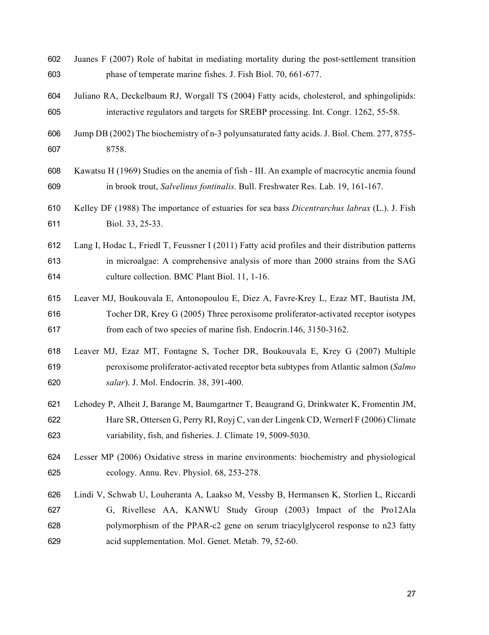- Juanes F (2007) Role of habitat in mediating mortality during the post-settlement transition phase of temperate marine fishes. J. Fish Biol. 70, 661-677.
- Juliano RA, Deckelbaum RJ, Worgall TS (2004) Fatty acids, cholesterol, and sphingolipids: interactive regulators and targets for SREBP processing. Int. Congr. 1262, 55-58.
- Jump DB (2002) The biochemistry of n-3 polyunsaturated fatty acids. J. Biol. Chem. 277, 8755- 8758.
- Kawatsu H (1969) Studies on the anemia of fish III. An example of macrocytic anemia found in brook trout, *Salvelinus fontinalis*. Bull. Freshwater Res. Lab. 19, 161-167.
- Kelley DF (1988) The importance of estuaries for sea bass *Dicentrarchus labrax* (L.). J. Fish Biol. 33, 25-33.
- Lang I, Hodac L, Friedl T, Feussner I (2011) Fatty acid profiles and their distribution patterns in microalgae: A comprehensive analysis of more than 2000 strains from the SAG culture collection. BMC Plant Biol. 11, 1-16.
- Leaver MJ, Boukouvala E, Antonopoulou E, Diez A, Favre-Krey L, Ezaz MT, Bautista JM, Tocher DR, Krey G (2005) Three peroxisome proliferator-activated receptor isotypes from each of two species of marine fish. Endocrin.146, 3150-3162.
- Leaver MJ, Ezaz MT, Fontagne S, Tocher DR, Boukouvala E, Krey G (2007) Multiple peroxisome proliferator-activated receptor beta subtypes from Atlantic salmon (*Salmo salar*). J. Mol. Endocrin. 38, 391-400.
- Lehodey P, Alheit J, Barange M, Baumgartner T, Beaugrand G, Drinkwater K, Fromentin JM, Hare SR, Ottersen G, Perry RI, Royj C, van der Lingenk CD, Wernerl F (2006) Climate variability, fish, and fisheries. J. Climate 19, 5009-5030.
- Lesser MP (2006) Oxidative stress in marine environments: biochemistry and physiological ecology. Annu. Rev. Physiol. 68, 253-278.
- Lindi V, Schwab U, Louheranta A, Laakso M, Vessby B, Hermansen K, Storlien L, Riccardi G, Rivellese AA, KANWU Study Group (2003) Impact of the Pro12Ala polymorphism of the PPAR-c2 gene on serum triacylglycerol response to n23 fatty acid supplementation. Mol. Genet. Metab. 79, 52-60.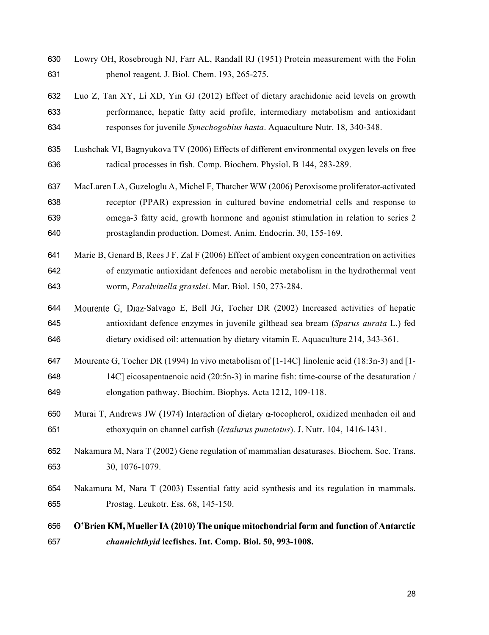- Lowry OH, Rosebrough NJ, Farr AL, Randall RJ (1951) Protein measurement with the Folin phenol reagent. J. Biol. Chem. 193, 265-275.
- Luo Z, Tan XY, Li XD, Yin GJ (2012) Effect of dietary arachidonic acid levels on growth performance, hepatic fatty acid profile, intermediary metabolism and antioxidant responses for juvenile *Synechogobius hasta*. Aquaculture Nutr. 18, 340-348.
- Lushchak VI, Bagnyukova TV (2006) Effects of different environmental oxygen levels on free radical processes in fish. Comp. Biochem. Physiol. B 144, 283-289.
- MacLaren LA, Guzeloglu A, Michel F, Thatcher WW (2006) Peroxisome proliferator-activated receptor (PPAR) expression in cultured bovine endometrial cells and response to omega-3 fatty acid, growth hormone and agonist stimulation in relation to series 2 prostaglandin production. Domest. Anim. Endocrin. 30, 155-169.
- Marie B, Genard B, Rees J F, Zal F (2006) Effect of ambient oxygen concentration on activities of enzymatic antioxidant defences and aerobic metabolism in the hydrothermal vent worm, *Paralvinella grasslei*. Mar. Biol. 150, 273-284.
- 644 Mourente G, Diaz-Salvago E, Bell JG, Tocher DR (2002) Increased activities of hepatic antioxidant defence enzymes in juvenile gilthead sea bream (*Sparus aurata* L.) fed dietary oxidised oil: attenuation by dietary vitamin E. Aquaculture 214, 343-361.
- Mourente G, Tocher DR (1994) In vivo metabolism of [1-14C] linolenic acid (18:3n-3) and [1- 14C] eicosapentaenoic acid (20:5n-3) in marine fish: time-course of the desaturation / elongation pathway. Biochim. Biophys. Acta 1212, 109-118.
- 650 Murai T, Andrews JW (1974) Interaction of dietary  $\alpha$ -tocopherol, oxidized menhaden oil and ethoxyquin on channel catfish (*Ictalurus punctatus*). J. Nutr. 104, 1416-1431.
- Nakamura M, Nara T (2002) Gene regulation of mammalian desaturases. Biochem. Soc. Trans. 30, 1076-1079.
- Nakamura M, Nara T (2003) Essential fatty acid synthesis and its regulation in mammals. Prostag. Leukotr. Ess. 68, 145-150.
- O'Brien KM, Mueller IA (2010) The unique mitochondrial form and function of Antarctic *channichthyid* **icefishes. Int. Comp. Biol. 50, 993-1008.**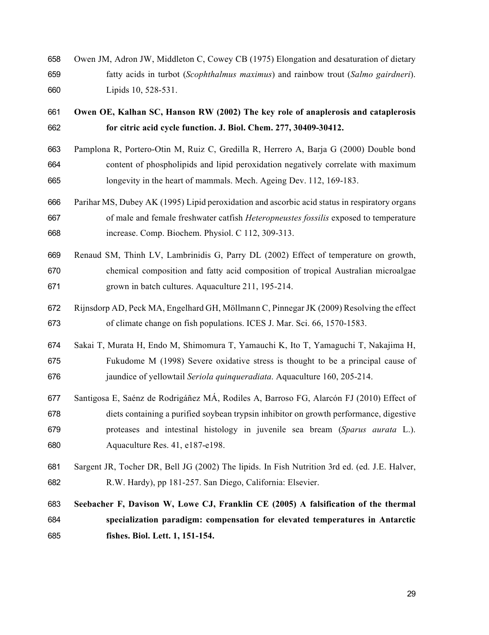- Owen JM, Adron JW, Middleton C, Cowey CB (1975) Elongation and desaturation of dietary fatty acids in turbot (*Scophthalmus maximus*) and rainbow trout (*Salmo gairdneri*). Lipids 10, 528-531.
- **Owen OE, Kalhan SC, Hanson RW (2002) The key role of anaplerosis and cataplerosis for citric acid cycle function. J. Biol. Chem. 277, 30409-30412.**
- Pamplona R, Portero-Otin M, Ruiz C, Gredilla R, Herrero A, Barja G (2000) Double bond content of phospholipids and lipid peroxidation negatively correlate with maximum longevity in the heart of mammals. Mech. Ageing Dev. 112, 169-183.
- Parihar MS, Dubey AK (1995) Lipid peroxidation and ascorbic acid status in respiratory organs of male and female freshwater catfish *Heteropneustes fossilis* exposed to temperature increase. Comp. Biochem. Physiol. C 112, 309-313.
- Renaud SM, Thinh LV, Lambrinidis G, Parry DL (2002) Effect of temperature on growth, chemical composition and fatty acid composition of tropical Australian microalgae grown in batch cultures. Aquaculture 211, 195-214.
- Rijnsdorp AD, Peck MA, Engelhard GH, Möllmann C, Pinnegar JK (2009) Resolving the effect of climate change on fish populations. ICES J. Mar. Sci. 66, 1570-1583.
- Sakai T, Murata H, Endo M, Shimomura T, Yamauchi K, Ito T, Yamaguchi T, Nakajima H, Fukudome M (1998) Severe oxidative stress is thought to be a principal cause of jaundice of yellowtail *Seriola quinqueradiata*. Aquaculture 160, 205-214.
- Santigosa E, Saénz de Rodrigáñez MÁ, Rodiles A, Barroso FG, Alarcón FJ (2010) Effect of diets containing a purified soybean trypsin inhibitor on growth performance, digestive proteases and intestinal histology in juvenile sea bream (*Sparus aurata* L.). Aquaculture Res. 41, e187-e198.
- Sargent JR, Tocher DR, Bell JG (2002) The lipids. In Fish Nutrition 3rd ed. (ed. J.E. Halver, R.W. Hardy), pp 181-257. San Diego, California: Elsevier.

# **Seebacher F, Davison W, Lowe CJ, Franklin CE (2005) A falsification of the thermal specialization paradigm: compensation for elevated temperatures in Antarctic fishes. Biol. Lett. 1, 151-154.**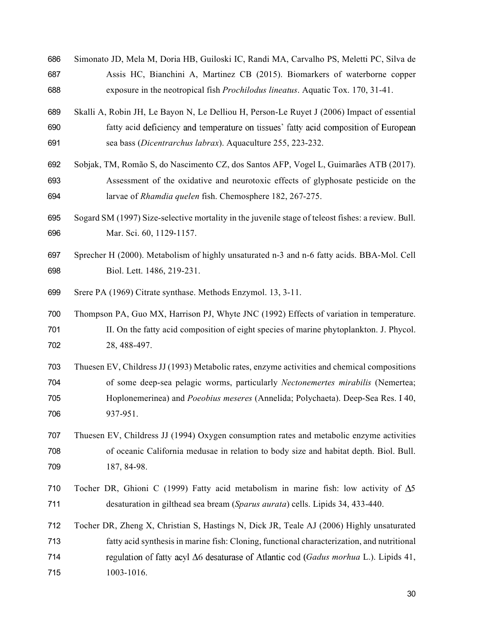- Simonato JD, Mela M, Doria HB, Guiloski IC, Randi MA, Carvalho PS, Meletti PC, Silva de Assis HC, Bianchini A, Martinez CB (2015). Biomarkers of waterborne copper exposure in the neotropical fish *Prochilodus lineatus*. Aquatic Tox. 170, 31-41.
- Skalli A, Robin JH, Le Bayon N, Le Delliou H, Person-Le Ruyet J (2006) Impact of essential 690 fatty acid deficiency and temperature on tissues' fatty acid composition of European sea bass (*Dicentrarchus labrax*). Aquaculture 255, 223-232.
- Sobjak, TM, Romão S, do Nascimento CZ, dos Santos AFP, Vogel L, Guimarães ATB (2017). Assessment of the oxidative and neurotoxic effects of glyphosate pesticide on the larvae of *Rhamdia quelen* fish. Chemosphere 182, 267-275.
- Sogard SM (1997) Size-selective mortality in the juvenile stage of teleost fishes: a review. Bull. Mar. Sci. 60, 1129-1157.
- Sprecher H (2000). Metabolism of highly unsaturated n-3 and n-6 fatty acids. BBA-Mol. Cell Biol. Lett. 1486, 219-231.
- Srere PA (1969) Citrate synthase. Methods Enzymol. 13, 3-11.
- Thompson PA, Guo MX, Harrison PJ, Whyte JNC (1992) Effects of variation in temperature. II. On the fatty acid composition of eight species of marine phytoplankton. J. Phycol. 28, 488-497.
- Thuesen EV, Childress JJ (1993) Metabolic rates, enzyme activities and chemical compositions of some deep-sea pelagic worms, particularly *Nectonemertes mirabilis* (Nemertea; Hoplonemerinea) and *Poeobius meseres* (Annelida; Polychaeta). Deep-Sea Res. I 40, 937-951.
- Thuesen EV, Childress JJ (1994) Oxygen consumption rates and metabolic enzyme activities of oceanic California medusae in relation to body size and habitat depth. Biol. Bull. 187, 84-98.
- 710 Tocher DR, Ghioni C (1999) Fatty acid metabolism in marine fish: low activity of  $\Delta$ 5 desaturation in gilthead sea bream (*Sparus aurata*) cells. Lipids 34, 433-440.
- Tocher DR, Zheng X, Christian S, Hastings N, Dick JR, Teale AJ (2006) Highly unsaturated fatty acid synthesis in marine fish: Cloning, functional characterization, and nutritional *Gadus morhua* L.). Lipids 41, 1003-1016.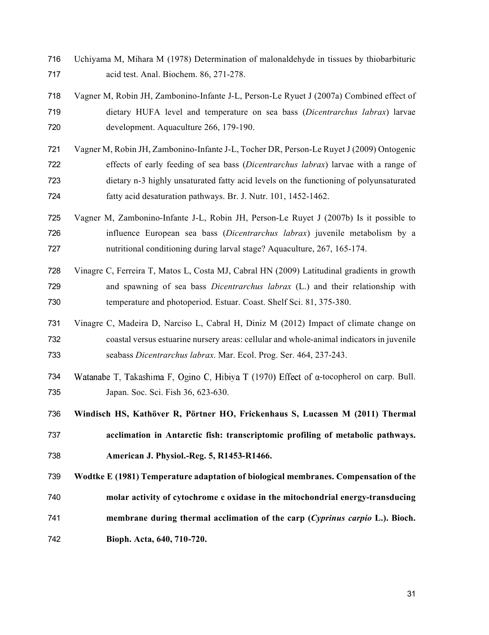- Uchiyama M, Mihara M (1978) Determination of malonaldehyde in tissues by thiobarbituric acid test. Anal. Biochem. 86, 271-278.
- Vagner M, Robin JH, Zambonino-Infante J-L, Person-Le Ryuet J (2007a) Combined effect of dietary HUFA level and temperature on sea bass (*Dicentrarchus labrax*) larvae development. Aquaculture 266, 179-190.
- Vagner M, Robin JH, Zambonino-Infante J-L, Tocher DR, Person-Le Ruyet J (2009) Ontogenic effects of early feeding of sea bass (*Dicentrarchus labrax*) larvae with a range of dietary n-3 highly unsaturated fatty acid levels on the functioning of polyunsaturated fatty acid desaturation pathways. Br. J. Nutr. 101, 1452-1462.
- Vagner M, Zambonino-Infante J-L, Robin JH, Person-Le Ruyet J (2007b) Is it possible to influence European sea bass (*Dicentrarchus labrax*) juvenile metabolism by a nutritional conditioning during larval stage? Aquaculture, 267, 165-174.
- Vinagre C, Ferreira T, Matos L, Costa MJ, Cabral HN (2009) Latitudinal gradients in growth and spawning of sea bass *Dicentrarchus labrax* (L.) and their relationship with temperature and photoperiod. Estuar. Coast. Shelf Sci. 81, 375-380.
- Vinagre C, Madeira D, Narciso L, Cabral H, Diniz M (2012) Impact of climate change on coastal versus estuarine nursery areas: cellular and whole-animal indicators in juvenile seabass *Dicentrarchus labrax*. Mar. Ecol. Prog. Ser. 464, 237-243.
- 734 Watanabe T, Takashima F, Ogino C, Hibiya T (1970) Effect of  $\alpha$ -tocopherol on carp. Bull. Japan. Soc. Sci. Fish 36, 623-630.
- **Windisch HS, Kathöver R, Pörtner HO, Frickenhaus S, Lucassen M (2011) Thermal**
- **acclimation in Antarctic fish: transcriptomic profiling of metabolic pathways. American J. Physiol.-Reg. 5, R1453-R1466.**
- **Wodtke E (1981) Temperature adaptation of biological membranes. Compensation of the**
- **molar activity of cytochrome c oxidase in the mitochondrial energy-transducing membrane during thermal acclimation of the carp (***Cyprinus carpio* **L.). Bioch.**
- **Bioph. Acta, 640, 710-720.**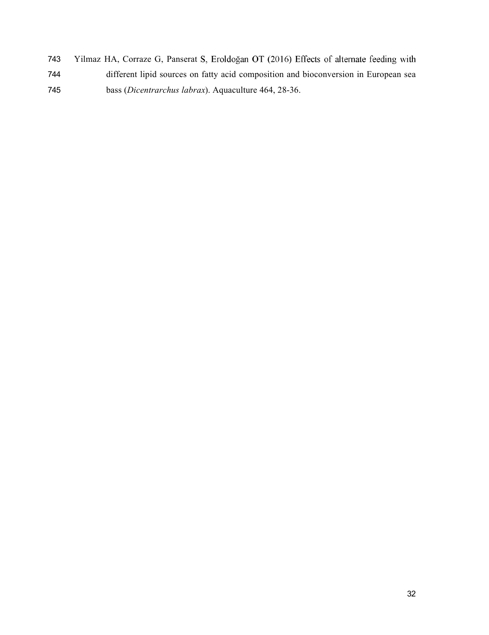- 743 Yilmaz HA, Corraze G, Panserat S, Eroldoğan OT (2016) Effects of alternate feeding with different lipid sources on fatty acid composition and bioconversion in European sea
- bass (*Dicentrarchus labrax*). Aquaculture 464, 28-36.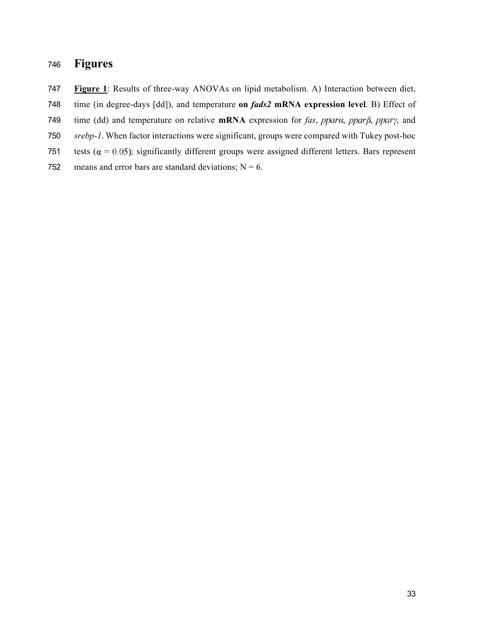## **Figures**

**Figure 1**: Results of three-way ANOVAs on lipid metabolism. A) Interaction between diet,

- time (in degree-days [dd]), and temperature **on** *fads2* **mRNA expression level**. B) Effect of
- 749 time (dd) and temperature on relative  $mRNA$  expression for *fas*, ppara, ppar $\beta$ , ppar $\gamma$ , and
- *srebp-1*. When factor interactions were significant, groups were compared with Tukey post-hoc
- 751 tests ( $\alpha = 0.05$ ); significantly different groups were assigned different letters. Bars represent
- 752 means and error bars are standard deviations;  $N = 6$ .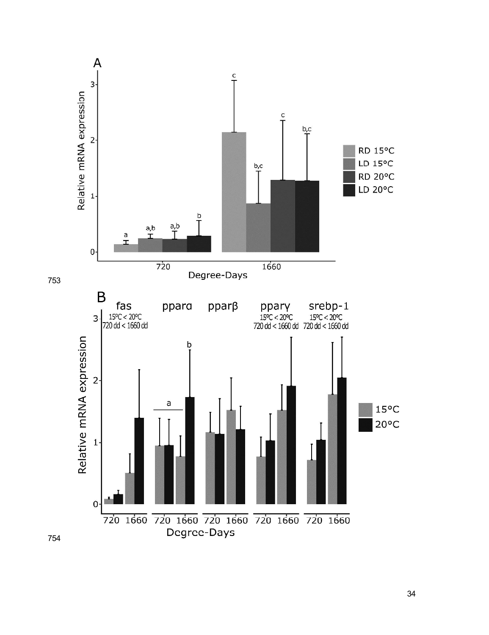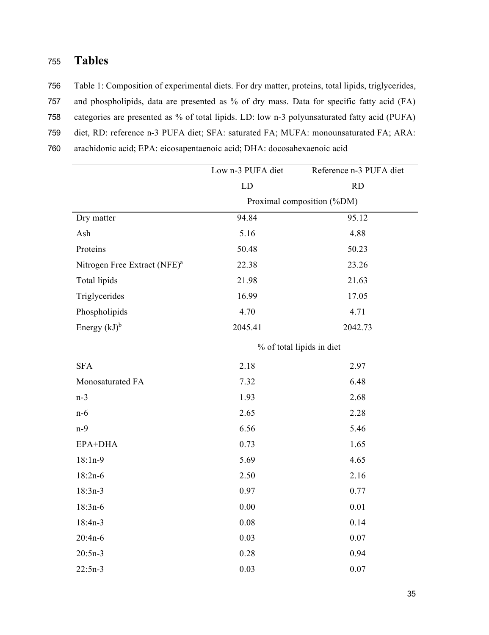## <sup>755</sup> **Tables**

756 Table 1: Composition of experimental diets. For dry matter, proteins, total lipids, triglycerides,

- 757 and phospholipids, data are presented as % of dry mass. Data for specific fatty acid (FA)
- 758 categories are presented as % of total lipids. LD: low n-3 polyunsaturated fatty acid (PUFA)
- 759 diet, RD: reference n-3 PUFA diet; SFA: saturated FA; MUFA: monounsaturated FA; ARA:
- 760 arachidonic acid; EPA: eicosapentaenoic acid; DHA: docosahexaenoic acid

|                                          | Lown-3 PUFA diet           | Reference n-3 PUFA diet   |  |  |  |  |
|------------------------------------------|----------------------------|---------------------------|--|--|--|--|
|                                          | LD                         | <b>RD</b>                 |  |  |  |  |
|                                          | Proximal composition (%DM) |                           |  |  |  |  |
| Dry matter                               | 94.84                      | 95.12                     |  |  |  |  |
| Ash                                      | 5.16                       | 4.88                      |  |  |  |  |
| Proteins                                 | 50.48                      | 50.23                     |  |  |  |  |
| Nitrogen Free Extract (NFE) <sup>a</sup> | 22.38                      | 23.26                     |  |  |  |  |
| Total lipids                             | 21.98                      | 21.63                     |  |  |  |  |
| Triglycerides                            | 16.99                      | 17.05                     |  |  |  |  |
| Phospholipids                            | 4.70                       | 4.71                      |  |  |  |  |
| Energy $(kJ)^b$                          | 2045.41                    | 2042.73                   |  |  |  |  |
|                                          |                            | % of total lipids in diet |  |  |  |  |
| <b>SFA</b>                               | 2.18                       | 2.97                      |  |  |  |  |
| Monosaturated FA                         | 7.32                       | 6.48                      |  |  |  |  |
| $n-3$                                    | 1.93                       | 2.68                      |  |  |  |  |
| $n-6$                                    | 2.65                       | 2.28                      |  |  |  |  |
| $n-9$                                    | 6.56                       | 5.46                      |  |  |  |  |
| EPA+DHA                                  | 0.73                       | 1.65                      |  |  |  |  |
| $18:1n-9$                                | 5.69                       | 4.65                      |  |  |  |  |
| $18:2n-6$                                | 2.50                       | 2.16                      |  |  |  |  |
| $18:3n-3$                                | 0.97                       | 0.77                      |  |  |  |  |
| $18:3n-6$                                | 0.00                       | 0.01                      |  |  |  |  |
| $18:4n-3$                                | 0.08                       | 0.14                      |  |  |  |  |
| $20:4n-6$                                | 0.03                       | 0.07                      |  |  |  |  |
| $20:5n-3$                                | 0.28                       | 0.94                      |  |  |  |  |
| $22:5n-3$                                | 0.03                       | 0.07                      |  |  |  |  |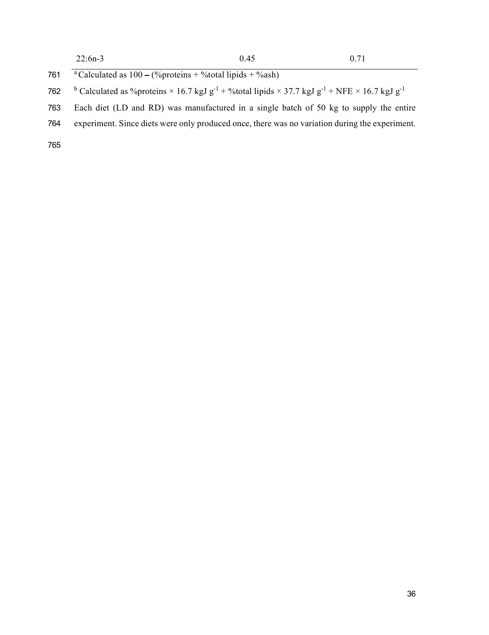| $22:6n-3$ | 0.45 | 0.71 |
|-----------|------|------|
|           |      |      |

- 761  $\overline{a}$  Calculated as  $100 (\%$ proteins + %total lipids + %ash)
- <sup>b</sup> Calculated as %proteins × 16.7 kgJ g<sup>-1</sup> + %total lipids × 37.7 kgJ g<sup>-1</sup> + NFE × 16.7 kgJ g<sup>-1</sup>
- Each diet (LD and RD) was manufactured in a single batch of 50 kg to supply the entire
- experiment. Since diets were only produced once, there was no variation during the experiment.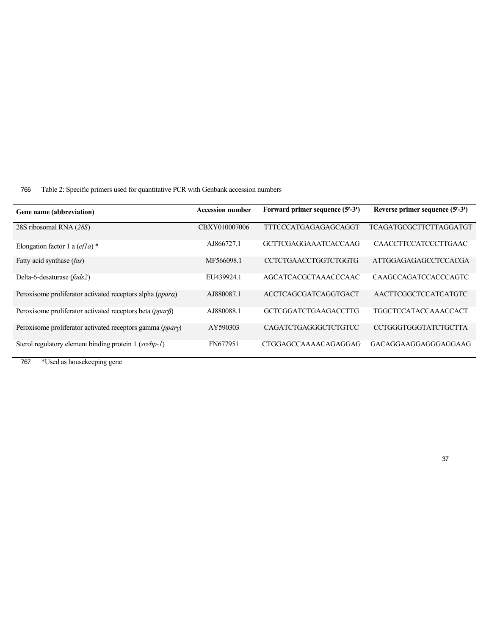766 Table 2: Specific primers used for quantitative PCR with Genbank accession numbers

| Gene name (abbreviation)                                       | <b>Accession number</b> | Forward primer sequence (5'-3') | Reverse primer sequence (5'-3') |
|----------------------------------------------------------------|-------------------------|---------------------------------|---------------------------------|
| 28S ribosomal RNA (28S)                                        | CBXY010007006           | <b>TTTCCCATGAGAGAGCAGGT</b>     | TCAGATGCGCTTCTTAGGATGT          |
| Elongation factor 1 a $\left(\frac{e}{la}\right)^*$            | AJ866727.1              | <b>GCTTCGAGGAAATCACCAAG</b>     | <b>CAACCTTCCATCCCTTGAAC</b>     |
| Fatty acid synthase (fas)                                      | MF566098.1              | <b>CCTCTGAACCTGGTCTGGTG</b>     | ATTGGAGAGAGCCTCCACGA            |
| Delta-6-desaturase (fads2)                                     | EU439924.1              | <b>AGCATCACGCTAAACCCAAC</b>     | <b>CAAGCCAGATCCACCCAGTC</b>     |
| Peroxisome proliferator activated receptors alpha (ppara)      | AJ880087.1              | ACCTCAGCGATCAGGTGACT            | AACTTCGGCTCCATCATGTC            |
| Peroxisome proliferator activated receptors beta $(ppar\beta)$ | AJ880088.1              | <b>GCTCGGATCTGAAGACCTTG</b>     | <b>TGGCTCCATACCAAACCACT</b>     |
| Peroxisome proliferator activated receptors gamma $(ppary)$    | AY590303                | CAGATCTGAGGGCTCTGTCC            | <b>CCTGGGTGGGTATCTGCTTA</b>     |
| Sterol regulatory element binding protein 1 (srebp-1)          | FN677951                | CTGGAGCCAAAACAGAGGAG            | GACAGGAAGGAGGGAGGAAG            |

767 \*Used as housekeeping gene

 $\overline{a}$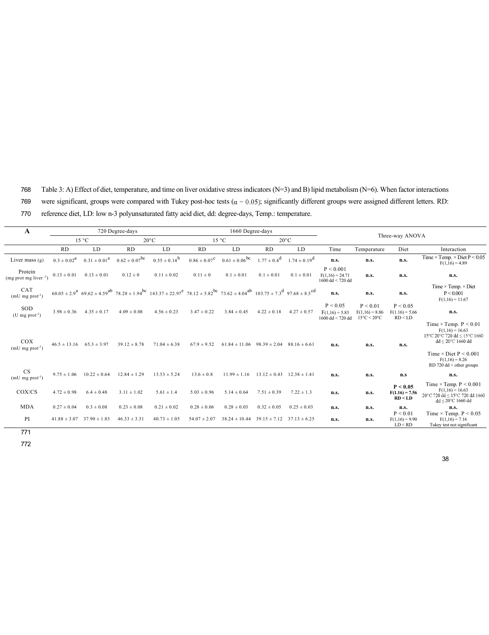768 Table 3: A) Effect of diet, temperature, and time on liver oxidative stressindicators (N=3) and B) lipid metabolism (N=6). When factor interactions 769 were significant, groups were compared with Tukey post-hoc tests ( $\alpha = 0.05$ ); significantly different groups were assigned different letters. RD: 770 reference diet, LD: low n-3 polyunsaturated fatty acid diet, dd: degree-days, Temp.: temperature.

| A                                        | 720 Degree-days                  |                                  |                               |                                                                                                                                                                                                         | 1660 Degree-days        |                                                     |                  |                         |                                                      |                                                                 |                                          |                                                                                                                                                                                  |  |
|------------------------------------------|----------------------------------|----------------------------------|-------------------------------|---------------------------------------------------------------------------------------------------------------------------------------------------------------------------------------------------------|-------------------------|-----------------------------------------------------|------------------|-------------------------|------------------------------------------------------|-----------------------------------------------------------------|------------------------------------------|----------------------------------------------------------------------------------------------------------------------------------------------------------------------------------|--|
|                                          | $15^{\circ}$ C<br>$20^{\circ}$ C |                                  |                               |                                                                                                                                                                                                         |                         | $15 \text{ °C}$                                     | $20^{\circ}$ C   |                         |                                                      | Three-way ANOVA                                                 |                                          |                                                                                                                                                                                  |  |
|                                          | <b>RD</b>                        | LD                               | <b>RD</b>                     | LD                                                                                                                                                                                                      | <b>RD</b>               | LD.                                                 | <b>RD</b>        | LD                      | Time                                                 | Temperature                                                     | Diet                                     | Interaction                                                                                                                                                                      |  |
| Liver mass $(g)$                         | $0.3 \pm 0.02^a$                 | $0.31 \pm 0.01^a$                | $0.62 \pm 0.07$ <sup>bc</sup> | $0.55 \pm 0.14^b$                                                                                                                                                                                       | $0.86 \pm 0.07^{\circ}$ | $0.61 \pm 0.06$ <sup>bc</sup>                       | $1.77 \pm 0.4^d$ | $1.74 \pm 0.19^{\rm d}$ | n.s.                                                 | n.s.                                                            | n.s.                                     | Time $\times$ Temp. $\times$ Diet P $< 0.05$<br>$F(1,16) = 4.89$                                                                                                                 |  |
| Protein<br>$(mg$ prot mg liver $^{-1}$ ) | $0.13 \pm 0.01$                  | $0.13 \pm 0.01$                  | $0.12 \pm 0$                  | $0.11 \pm 0.02$                                                                                                                                                                                         | $0.11 \pm 0$            | $0.1 \pm 0.01$                                      | $0.1 \pm 0.01$   | $0.1 \pm 0.01$          | P < 0.001<br>$F(1,16) = 24.71$<br>$1600$ dd < 720 dd | n.s.                                                            | n.s.                                     | n.s.                                                                                                                                                                             |  |
| CAT<br>$(mU mg prot-1)$                  |                                  |                                  |                               | $60.05 \pm 2.9^{\circ}$ $69.62 \pm 4.59^{\circ}$ $78.28 \pm 1.94^{\circ}$ $143.37 \pm 22.97^{\circ}$ $78.12 \pm 5.82^{\circ}$ $73.62 \pm 4.04^{\circ}$ $103.75 \pm 7.3^{\circ}$ $97.68 \pm 8.5^{\circ}$ |                         |                                                     |                  |                         | n.s.                                                 | n.s.                                                            | n.s.                                     | Time $\times$ Temp. $\times$ Diet<br>P < 0.001<br>$F(1,16) = 11.67$                                                                                                              |  |
| SOD<br>$(U \text{ mg prot}^{-1})$        | $3.98 \pm 0.36$                  | $4.35 \pm 0.17$                  | $4.09 \pm 0.08$               | $4.56 \pm 0.23$                                                                                                                                                                                         | $3.47 \pm 0.22$         | $3.84 \pm 0.45$                                     | $4.22 \pm 0.18$  | $4.27 \pm 0.57$         | P < 0.05<br>$F(1,16) = 5.83$<br>$1600$ dd < 720 dd   | P < 0.01<br>$F(1,16) = 8.86$<br>$15^{\circ}$ C < $20^{\circ}$ C | P < 0.05<br>$F(1.16) = 5.66$<br>RD < LD  | n.s.                                                                                                                                                                             |  |
| COX<br>$(mU mg prot-1)$                  | $46.5 \pm 13.16$                 | $65.3 \pm 3.97$                  | $39.12 \pm 8.78$              | $71.04 \pm 6.38$                                                                                                                                                                                        | $67.9 \pm 9.52$         | $61.84 \pm 11.06$ $98.39 \pm 2.04$ $88.16 \pm 6.61$ |                  |                         | n.s.                                                 | n.s.                                                            | n.s.                                     | Time $\times$ Temp. $P \le 0.01$<br>$F(1,16) = 16.63$<br>15°C 20°C 720 dd < 15°C 1660<br>$dd \leq 20^{\circ}$ C 1660 dd<br>Time $\times$ Diet P $\leq$ 0.001<br>$F(1,16) = 8.26$ |  |
| <b>CS</b><br>$(mU mg prot-1)$            |                                  | $9.75 \pm 1.06$ $10.22 \pm 0.64$ | $12.84 \pm 1.29$              | $13.53 \pm 5.24$                                                                                                                                                                                        | $13.6 \pm 0.8$          | $11.99 \pm 1.16$ $13.12 \pm 0.43$ $12.38 \pm 1.41$  |                  |                         | n.s.                                                 | n.s.                                                            | n.s                                      | $RD$ 720 dd < other groups<br>n.s.                                                                                                                                               |  |
| COX/CS                                   | $4.72 \pm 0.98$                  | $6.4 \pm 0.48$                   | $3.11 \pm 1.02$               | $5.61 \pm 1.4$                                                                                                                                                                                          | $5.03 \pm 0.96$         | $5.14 \pm 0.64$                                     | $7.51 \pm 0.39$  | $7.22 \pm 1.3$          | n.s.                                                 | n.s.                                                            | P < 0.05<br>$F(1.16) = 7.56$<br>RD < L D | Time $\times$ Temp. $P \le 0.001$<br>$F(1,16) = 16.63$<br>20°C 720 dd ≤ 15°C 720 dd 1660<br>dd < 20°C 1660 dd                                                                    |  |
| <b>MDA</b>                               | $0.27 \pm 0.04$                  | $0.3 \pm 0.08$                   | $0.23 \pm 0.08$               | $0.21 \pm 0.02$                                                                                                                                                                                         | $0.28 \pm 0.06$         | $0.28 \pm 0.03$                                     | $0.32 \pm 0.05$  | $0.25 \pm 0.03$         | n.s.                                                 | n.s.                                                            | n.s.                                     | n.s.                                                                                                                                                                             |  |
| PI                                       | $41.88 \pm 3.07$                 | $37.90 \pm 1.83$                 | $46.33 \pm 3.31$              | $40.73 \pm 1.05$                                                                                                                                                                                        | $54.07 \pm 2.07$        | $38.24 \pm 10.44$ $39.15 \pm 7.12$ $37.13 \pm 6.25$ |                  |                         | n.s.                                                 | n.s.                                                            | P < 0.01<br>$F(1,16) = 9.90$<br>LD < RD  | Time $\times$ Temp. P $< 0.05$<br>$F(1,16) = 7.16$<br>Tukey test not significant                                                                                                 |  |

772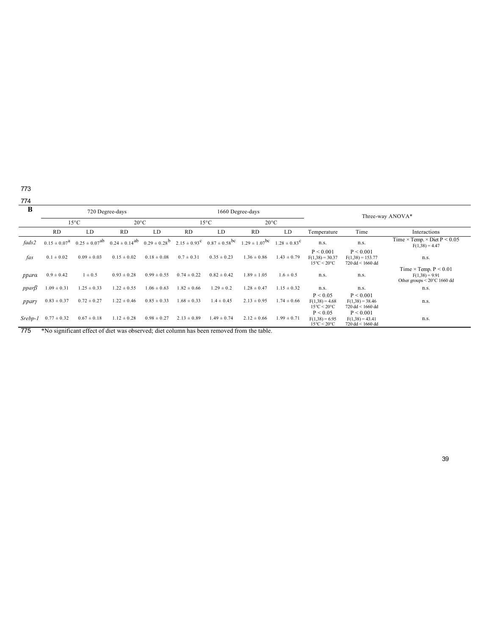774

| B           | 720 Degree-days<br>1660 Degree-days |                                    |                                           |                 |                                  |                                                                                                                         |                 | Three-way ANOVA* |                                                                   |                                                                       |                                                                                                  |  |
|-------------|-------------------------------------|------------------------------------|-------------------------------------------|-----------------|----------------------------------|-------------------------------------------------------------------------------------------------------------------------|-----------------|------------------|-------------------------------------------------------------------|-----------------------------------------------------------------------|--------------------------------------------------------------------------------------------------|--|
|             |                                     | $15^{\circ}$ C<br>$20^{\circ}$ C   |                                           |                 | $20^{\circ}$ C<br>$15^{\circ}$ C |                                                                                                                         |                 |                  |                                                                   |                                                                       |                                                                                                  |  |
|             | <b>RD</b>                           | <b>RD</b><br><b>RD</b><br>LD<br>LD |                                           | LD              | <b>RD</b>                        | LD                                                                                                                      | Temperature     | Time             | Interactions                                                      |                                                                       |                                                                                                  |  |
| fads2       | $0.15 \pm 0.07^{\text{a}}$          |                                    | $0.25 \pm 0.07^{ab}$ $0.24 \pm 0.14^{ab}$ |                 |                                  | $0.29 \pm 0.28^{\circ}$ $2.15 \pm 0.93^{\circ}$ $0.87 \pm 0.58^{\circ}$ $1.29 \pm 1.07^{\circ}$ $1.28 \pm 0.83^{\circ}$ |                 |                  | n.s.                                                              | n.s.                                                                  | Time $\times$ Temp. $\times$ Diet P $\leq$ 0.05<br>$F(1,38) = 4.47$                              |  |
| fas         | $0.1 \pm 0.02$                      | $0.09 \pm 0.03$                    | $0.15 \pm 0.02$                           | $0.18 \pm 0.08$ | $0.7 \pm 0.31$                   | $0.35 \pm 0.23$                                                                                                         | $1.36 \pm 0.86$ | $1.43 \pm 0.79$  | P < 0.001<br>$F(1,38) = 30.37$<br>$15^{\circ}$ C < $20^{\circ}$ C | P < 0.001<br>$F(1,38) = 153.77$<br>$720 \text{ dd} < 1660 \text{ dd}$ | n.s.                                                                                             |  |
| ppara       | $0.9 \pm 0.42$                      | $1 \pm 0.5$                        | $0.93 \pm 0.28$                           | $0.99 \pm 0.55$ | $0.74 \pm 0.22$                  | $0.82 \pm 0.42$                                                                                                         | $1.89 \pm 1.05$ | $1.6 \pm 0.5$    | n.s.                                                              | n.s.                                                                  | Time $\times$ Temp. $P \le 0.01$<br>$F(1,38) = 9.91$<br>Other groups $\leq 20^{\circ}$ C 1660 dd |  |
| $ppar\beta$ | $1.09 \pm 0.31$                     | $1.25 \pm 0.33$                    | $1.22 \pm 0.55$                           | $1.06 \pm 0.63$ | $1.82 \pm 0.66$                  | $1.29 \pm 0.2$                                                                                                          | $1.28 \pm 0.47$ | $1.15 \pm 0.32$  | n.s.                                                              | n.s.                                                                  | n.s.                                                                                             |  |
| ppary       | $0.83 \pm 0.37$                     | $0.72 \pm 0.27$                    | $1.22 \pm 0.46$                           | $0.85 \pm 0.33$ | $1.68 \pm 0.33$                  | $1.4 \pm 0.45$                                                                                                          | $2.13 \pm 0.95$ | $1.74 \pm 0.66$  | P < 0.05<br>$F(1,38) = 4.68$<br>$15^{\circ}$ C < 20 $^{\circ}$ C  | P < 0.001<br>$F(1,38) = 38.46$<br>720 dd < 1660 dd                    | n.s.                                                                                             |  |
| Srebp-1     | $0.77 \pm 0.32$                     | $0.67 \pm 0.18$                    | $1.12 \pm 0.28$                           | $0.98 \pm 0.27$ | $2.13 \pm 0.89$                  | $1.49 \pm 0.74$                                                                                                         | $2.12 \pm 0.66$ | $1.99 \pm 0.71$  | P < 0.05<br>$F(1,38) = 6.95$<br>$15^{\circ}$ C < $20^{\circ}$ C   | P < 0.001<br>$F(1,38) = 43.41$<br>$720 \text{ dd} < 1660 \text{ dd}$  | n.s.                                                                                             |  |

775 \*No significant effect of diet was observed; diet column has been removed from the table.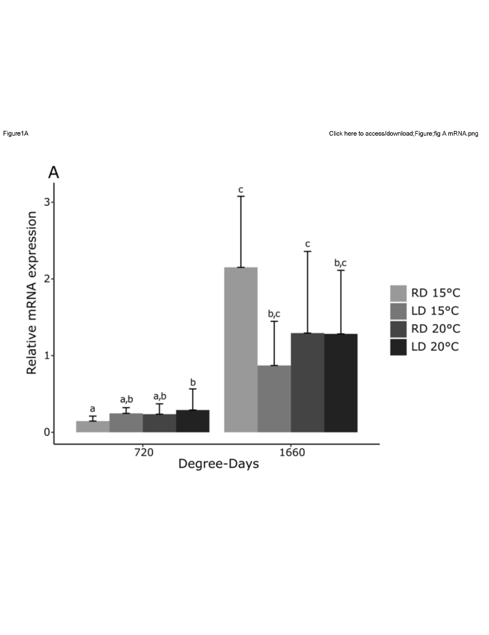



Figure1A